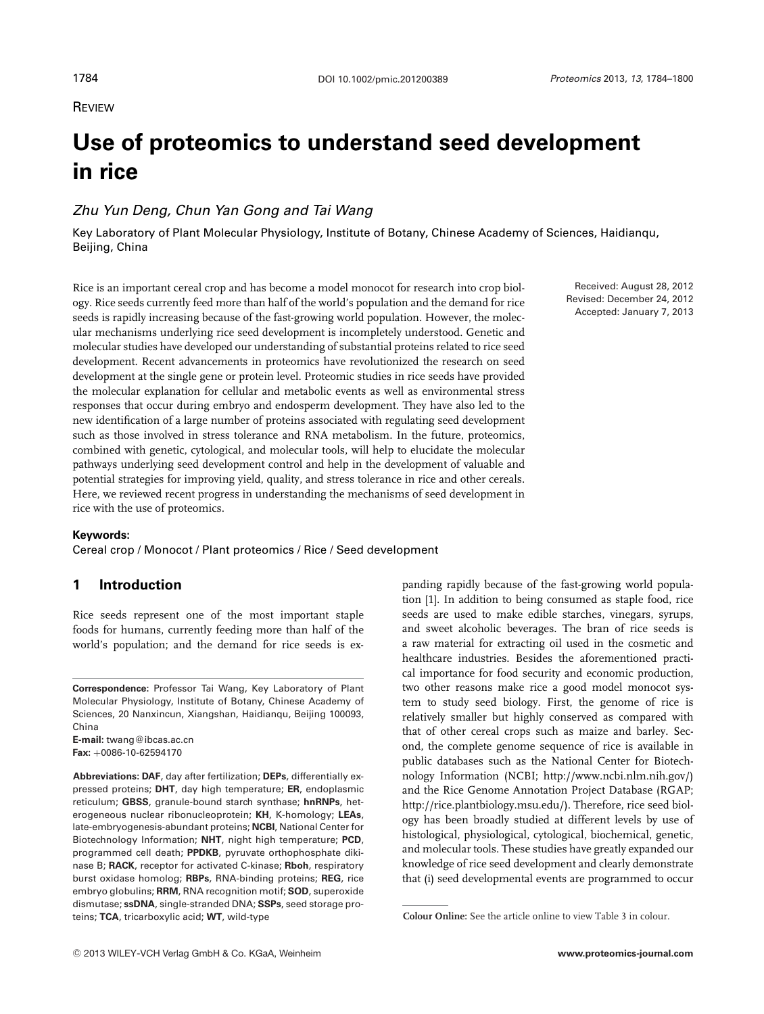**REVIEW** 

# **Use of proteomics to understand seed development in rice**

# *Zhu Yun Deng, Chun Yan Gong and Tai Wang*

Key Laboratory of Plant Molecular Physiology, Institute of Botany, Chinese Academy of Sciences, Haidianqu, Beijing, China

Rice is an important cereal crop and has become a model monocot for research into crop biology. Rice seeds currently feed more than half of the world's population and the demand for rice seeds is rapidly increasing because of the fast-growing world population. However, the molecular mechanisms underlying rice seed development is incompletely understood. Genetic and molecular studies have developed our understanding of substantial proteins related to rice seed development. Recent advancements in proteomics have revolutionized the research on seed development at the single gene or protein level. Proteomic studies in rice seeds have provided the molecular explanation for cellular and metabolic events as well as environmental stress responses that occur during embryo and endosperm development. They have also led to the new identification of a large number of proteins associated with regulating seed development such as those involved in stress tolerance and RNA metabolism. In the future, proteomics, combined with genetic, cytological, and molecular tools, will help to elucidate the molecular pathways underlying seed development control and help in the development of valuable and potential strategies for improving yield, quality, and stress tolerance in rice and other cereals. Here, we reviewed recent progress in understanding the mechanisms of seed development in rice with the use of proteomics.

#### **Keywords:**

Cereal crop / Monocot / Plant proteomics / Rice / Seed development

# **1 Introduction**

Rice seeds represent one of the most important staple foods for humans, currently feeding more than half of the world's population; and the demand for rice seeds is ex-

**Fax:** +0086-10-62594170

**Abbreviations: DAF**, day after fertilization; **DEPs**, differentially expressed proteins; **DHT**, day high temperature; **ER**, endoplasmic reticulum; **GBSS**, granule-bound starch synthase; **hnRNPs**, heterogeneous nuclear ribonucleoprotein; **KH**, K-homology; **LEAs**, late-embryogenesis-abundant proteins; **NCBI**, National Center for Biotechnology Information; **NHT**, night high temperature; **PCD**, programmed cell death; **PPDKB**, pyruvate orthophosphate dikinase B; **RACK**, receptor for activated C-kinase; **Rboh**, respiratory burst oxidase homolog; **RBPs**, RNA-binding proteins; **REG**, rice embryo globulins; **RRM**, RNA recognition motif; **SOD**, superoxide dismutase; **ssDNA**, single-stranded DNA; **SSPs**, seed storage proteins; **TCA**, tricarboxylic acid; **WT**, wild-type

Received: August 28, 2012 Revised: December 24, 2012 Accepted: January 7, 2013

panding rapidly because of the fast-growing world population [1]. In addition to being consumed as staple food, rice seeds are used to make edible starches, vinegars, syrups, and sweet alcoholic beverages. The bran of rice seeds is a raw material for extracting oil used in the cosmetic and healthcare industries. Besides the aforementioned practical importance for food security and economic production, two other reasons make rice a good model monocot system to study seed biology. First, the genome of rice is relatively smaller but highly conserved as compared with that of other cereal crops such as maize and barley. Second, the complete genome sequence of rice is available in public databases such as the National Center for Biotechnology Information (NCBI; [http://www.ncbi.nlm.nih.gov/\)](http://www.ncbi.nlm.nih.gov/) and the Rice Genome Annotation Project Database (RGAP; [http://rice.plantbiology.msu.edu/\)](http://rice.plantbiology.msu.edu/). Therefore, rice seed biology has been broadly studied at different levels by use of histological, physiological, cytological, biochemical, genetic, and molecular tools. These studies have greatly expanded our knowledge of rice seed development and clearly demonstrate that (i) seed developmental events are programmed to occur

**Correspondence:** Professor Tai Wang, Key Laboratory of Plant Molecular Physiology, Institute of Botany, Chinese Academy of Sciences, 20 Nanxincun, Xiangshan, Haidianqu, Beijing 100093, China **E-mail:** twang@ibcas.ac.cn

**Colour Online:** See the article online to view Table 3 in colour.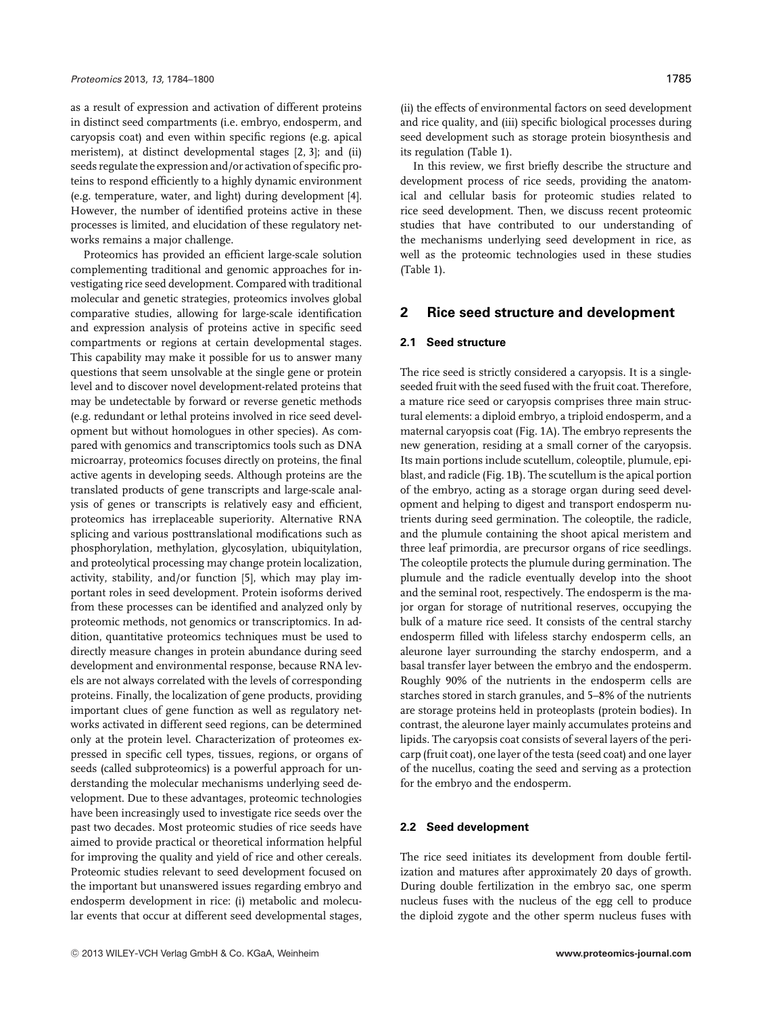as a result of expression and activation of different proteins in distinct seed compartments (i.e. embryo, endosperm, and caryopsis coat) and even within specific regions (e.g. apical meristem), at distinct developmental stages [2, 3]; and (ii) seeds regulate the expression and/or activation of specific proteins to respond efficiently to a highly dynamic environment (e.g. temperature, water, and light) during development [4]. However, the number of identified proteins active in these processes is limited, and elucidation of these regulatory networks remains a major challenge.

Proteomics has provided an efficient large-scale solution complementing traditional and genomic approaches for investigating rice seed development. Compared with traditional molecular and genetic strategies, proteomics involves global comparative studies, allowing for large-scale identification and expression analysis of proteins active in specific seed compartments or regions at certain developmental stages. This capability may make it possible for us to answer many questions that seem unsolvable at the single gene or protein level and to discover novel development-related proteins that may be undetectable by forward or reverse genetic methods (e.g. redundant or lethal proteins involved in rice seed development but without homologues in other species). As compared with genomics and transcriptomics tools such as DNA microarray, proteomics focuses directly on proteins, the final active agents in developing seeds. Although proteins are the translated products of gene transcripts and large-scale analysis of genes or transcripts is relatively easy and efficient, proteomics has irreplaceable superiority. Alternative RNA splicing and various posttranslational modifications such as phosphorylation, methylation, glycosylation, ubiquitylation, and proteolytical processing may change protein localization, activity, stability, and/or function [5], which may play important roles in seed development. Protein isoforms derived from these processes can be identified and analyzed only by proteomic methods, not genomics or transcriptomics. In addition, quantitative proteomics techniques must be used to directly measure changes in protein abundance during seed development and environmental response, because RNA levels are not always correlated with the levels of corresponding proteins. Finally, the localization of gene products, providing important clues of gene function as well as regulatory networks activated in different seed regions, can be determined only at the protein level. Characterization of proteomes expressed in specific cell types, tissues, regions, or organs of seeds (called subproteomics) is a powerful approach for understanding the molecular mechanisms underlying seed development. Due to these advantages, proteomic technologies have been increasingly used to investigate rice seeds over the past two decades. Most proteomic studies of rice seeds have aimed to provide practical or theoretical information helpful for improving the quality and yield of rice and other cereals. Proteomic studies relevant to seed development focused on the important but unanswered issues regarding embryo and endosperm development in rice: (i) metabolic and molecular events that occur at different seed developmental stages,

(ii) the effects of environmental factors on seed development and rice quality, and (iii) specific biological processes during seed development such as storage protein biosynthesis and its regulation (Table 1).

In this review, we first briefly describe the structure and development process of rice seeds, providing the anatomical and cellular basis for proteomic studies related to rice seed development. Then, we discuss recent proteomic studies that have contributed to our understanding of the mechanisms underlying seed development in rice, as well as the proteomic technologies used in these studies (Table 1).

### **2 Rice seed structure and development**

# **2.1 Seed structure**

The rice seed is strictly considered a caryopsis. It is a singleseeded fruit with the seed fused with the fruit coat. Therefore, a mature rice seed or caryopsis comprises three main structural elements: a diploid embryo, a triploid endosperm, and a maternal caryopsis coat (Fig. 1A). The embryo represents the new generation, residing at a small corner of the caryopsis. Its main portions include scutellum, coleoptile, plumule, epiblast, and radicle (Fig. 1B). The scutellum is the apical portion of the embryo, acting as a storage organ during seed development and helping to digest and transport endosperm nutrients during seed germination. The coleoptile, the radicle, and the plumule containing the shoot apical meristem and three leaf primordia, are precursor organs of rice seedlings. The coleoptile protects the plumule during germination. The plumule and the radicle eventually develop into the shoot and the seminal root, respectively. The endosperm is the major organ for storage of nutritional reserves, occupying the bulk of a mature rice seed. It consists of the central starchy endosperm filled with lifeless starchy endosperm cells, an aleurone layer surrounding the starchy endosperm, and a basal transfer layer between the embryo and the endosperm. Roughly 90% of the nutrients in the endosperm cells are starches stored in starch granules, and 5–8% of the nutrients are storage proteins held in proteoplasts (protein bodies). In contrast, the aleurone layer mainly accumulates proteins and lipids. The caryopsis coat consists of several layers of the pericarp (fruit coat), one layer of the testa (seed coat) and one layer of the nucellus, coating the seed and serving as a protection for the embryo and the endosperm.

#### **2.2 Seed development**

The rice seed initiates its development from double fertilization and matures after approximately 20 days of growth. During double fertilization in the embryo sac, one sperm nucleus fuses with the nucleus of the egg cell to produce the diploid zygote and the other sperm nucleus fuses with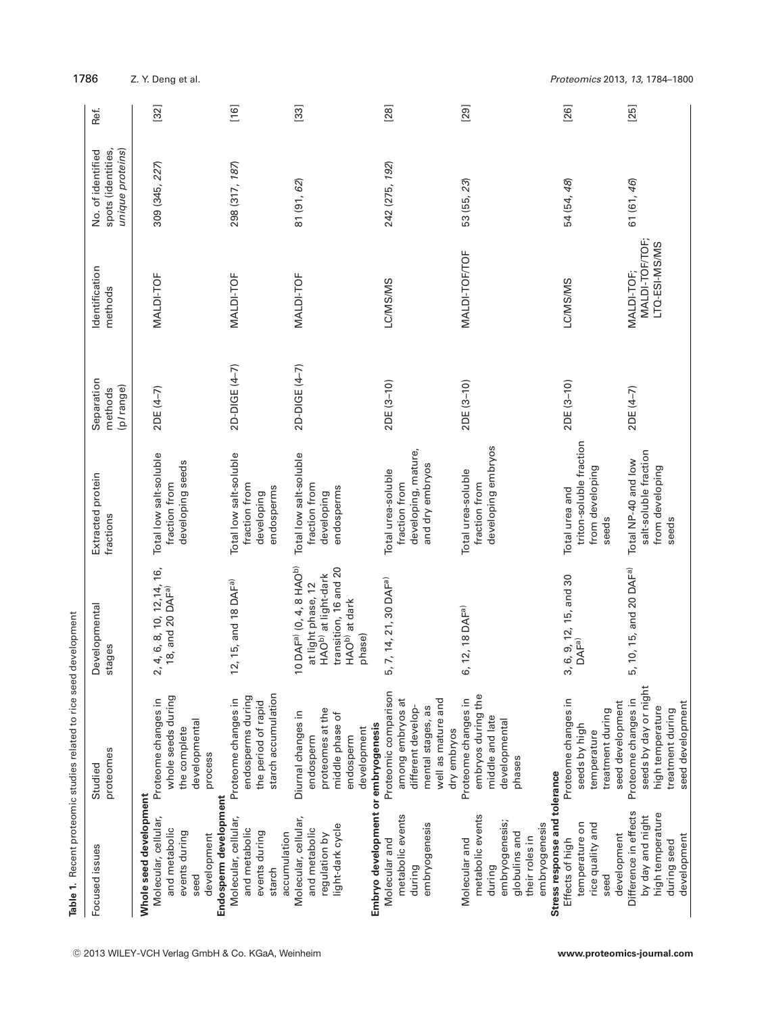|                                                                                                                                                    | Table 1. Recent proteomic studies related to rice seed development                                                       |                                                                                                                                                                          |                                                                               |                                    |                                               |                                                             |                                        |
|----------------------------------------------------------------------------------------------------------------------------------------------------|--------------------------------------------------------------------------------------------------------------------------|--------------------------------------------------------------------------------------------------------------------------------------------------------------------------|-------------------------------------------------------------------------------|------------------------------------|-----------------------------------------------|-------------------------------------------------------------|----------------------------------------|
| Focused issues                                                                                                                                     | proteomes<br>Studied                                                                                                     | Developmental<br>stages                                                                                                                                                  | Extracted protein<br>fractions                                                | Separation<br>(p/range)<br>methods | Identification<br>methods                     | unique proteins)<br>No. of identified<br>spots (identities, | 1786<br>Ref.                           |
| Whole seed development<br>Molecular, cellular,<br>and metabolic<br>events during<br>development<br>seed                                            | whole seeds during<br>Proteome changes in<br>developmental<br>the complete<br>process                                    | 2, 4, 6, 8, 10, 12, 14, 16,<br>18, and 20 DAF <sup>a)</sup>                                                                                                              | Total low salt-soluble<br>developing seeds<br>fraction from                   | 2DE (4-7)                          | MALDI-TOF                                     | 309 (345, 227)                                              | Z. Y. Deng et al.<br>[32]              |
| Endosperm development<br>Molecular, cellular,<br>and metabolic<br>events during<br>accumulation<br>starch                                          | starch accumulation<br>endosperms during<br>Proteome changes in<br>the period of rapid                                   | 12, 15, and 18 DAF <sup>a)</sup>                                                                                                                                         | Total low salt-soluble<br>fraction from<br>endosperms<br>developing           | 2D-DIGE (4-7)                      | MALDI-TOF                                     | 298 (317, 187)                                              | [16]                                   |
| Embryo development or embryogenesis<br>Molecular, cellular,<br>light-dark cycle<br>and metabolic<br>regulation by                                  | proteomes at the<br>Diurnal changes in<br>middle phase of<br>development<br>endosperm<br>endosperm                       | 10 DAF <sup>a)</sup> (0, 4, 8 HAO <sup>b)</sup><br>transition, 16 and 20<br>HAO <sup>b)</sup> at light-dark<br>at light phase, 12<br>HAO <sup>b)</sup> at dark<br>phase) | Total low salt-soluble<br>fraction from<br>endosperms<br>developing           | 2D-DIGE (4-7)                      | MALDI-TOF                                     | 81 (91, 62)                                                 | $[33]$                                 |
| metabolic events<br>embryogenesis<br>Molecular and<br>during                                                                                       | Proteomic comparison<br>among embryos at<br>well as mature and<br>different develop-<br>mental stages, as<br>dry embryos | 5, 7, 14, 21, 30 DAF <sup>a)</sup>                                                                                                                                       | developing, mature,<br>and dry embryos<br>Total urea-soluble<br>fraction from | 2DE (3-10)                         | LC/MS/MS                                      | 242 (275, 192)                                              | [28]                                   |
| Stress response and tolerance<br>metabolic events<br>embryogenesis;<br>embryogenesis<br>globulins and<br>their roles in<br>Molecular and<br>during | embryos during the<br>Proteome changes in<br>middle and late<br>developmental<br>phases                                  | 18 DAF <sup>a)</sup><br>6, 12,                                                                                                                                           | developing embryos<br>Total urea-soluble<br>fraction from                     | 2DE (3-10)                         | MALDI-TOF/TOF                                 | 53 (55, 23)                                                 | [29]                                   |
| temperature on<br>rice quality and<br>development<br>Effects of high<br>seed                                                                       | Proteome changes in<br>seed development<br>treatment during<br>seeds by high<br>temperature                              | 3, 6, 9, 12, 15, and 30<br>DAF <sup>a)</sup>                                                                                                                             | triton-soluble fraction<br>from developing<br>Total urea and<br>seeds         | 2DE (3-10)                         | LC/MS/MS                                      | 54 (54, 48)                                                 | $[26]$                                 |
| Difference in effects<br>high temperature<br>by day and night<br>development<br>during seed                                                        | seeds by day or night<br>Proteome changes in<br>seed development<br>high temperature<br>treatment during                 | 15, and 20 DAF <sup>a)</sup><br>5, 10,                                                                                                                                   | salt-soluble fraction<br>Total NP-40 and low<br>from developing<br>seeds      | 2DE (4-7)                          | MALDI-TOF/TOF;<br>LTQ-ESI-MS/MS<br>MALDI-TOF; | 61 (61, 46)                                                 | Proteomics 2013, 13, 1784-1800<br>[25] |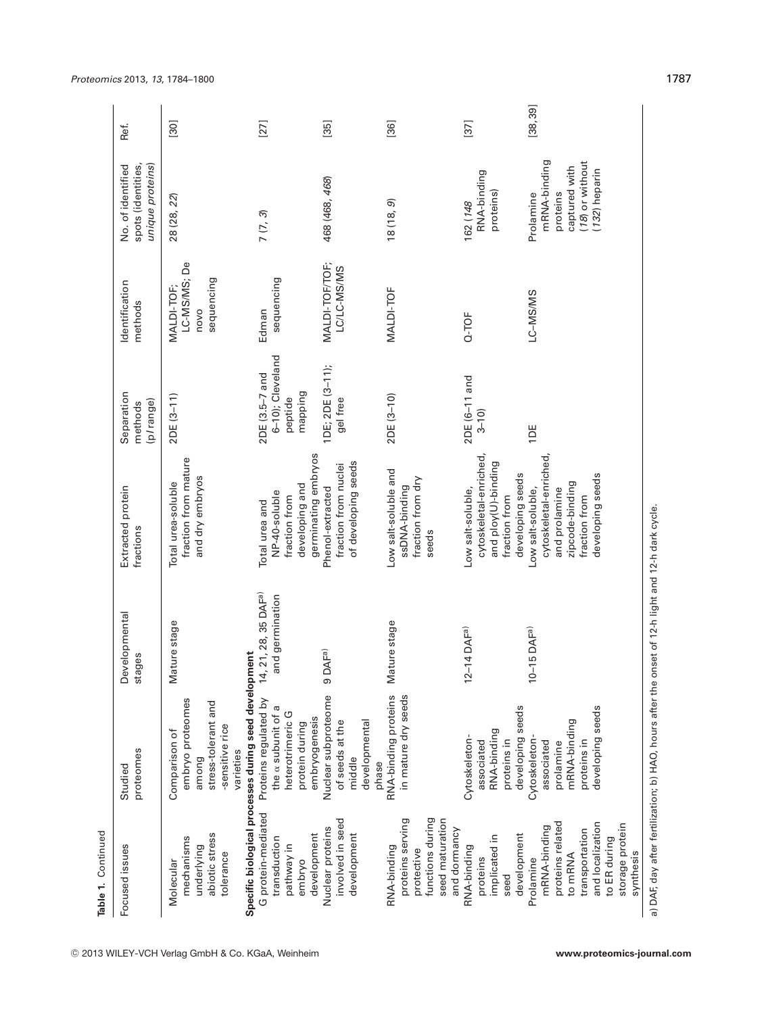| Table 1. Continued                                                                                                                             |                                                                                                                                                            |                                                    |                                                                                                                     |                                                          |                                                  |                                                                                            |          |
|------------------------------------------------------------------------------------------------------------------------------------------------|------------------------------------------------------------------------------------------------------------------------------------------------------------|----------------------------------------------------|---------------------------------------------------------------------------------------------------------------------|----------------------------------------------------------|--------------------------------------------------|--------------------------------------------------------------------------------------------|----------|
| Focused issues                                                                                                                                 | proteomes<br>Studied                                                                                                                                       | Developmental<br>stages                            | Extracted protein<br>fractions                                                                                      | Separation<br>(p/range)<br>methods                       | Identification<br>methods                        | unique proteins)<br>spots (identities,<br>No. of identified                                | Ref.     |
| abiotic stress<br>mechanisms<br>underlying<br>tolerance<br>Molecular                                                                           | Specific biological processes during seed development<br>embryo proteomes<br>stress-tolerant and<br>-sensitive rice<br>Comparison of<br>varieties<br>among | Mature stage                                       | fraction from mature<br>and dry embryos<br>Total urea-soluble                                                       | 2DE (3-11)                                               | LC-MS/MS; De<br>sequencing<br>MALDI-TOF;<br>novo | 28 (28, 22)                                                                                | [30]     |
| G protein-mediated<br>development<br>transduction<br>pathway in<br>embryo                                                                      | Proteins regulated by<br>the a subunit of a<br>heterotrimeric G<br>embryogenesis<br>protein during                                                         | 4, 21, 28, 35 DAF <sup>a)</sup><br>and germination | germinating embryos<br>developing and<br>NP-40-soluble<br>fraction from<br>Total urea and                           | 6-10); Cleveland<br>2DE (3.5-7 and<br>mapping<br>peptide | sequencing<br>Edman                              | 7(7, 3)                                                                                    | [27]     |
| involved in seed<br>Nuclear proteins<br>development                                                                                            | Nuclear subproteome<br>developmental<br>of seeds at the<br>middle<br>phase                                                                                 | DAF <sup>a</sup><br>თ                              | of developing seeds<br>fraction from nuclei<br>Phenol-extracted                                                     | 1DE; 2DE (3-11);<br>gel free                             | MALDI-TOF/TOF;<br>LC/LC-MS/MS                    | 468 (468, 468)                                                                             | [35]     |
| functions during<br>proteins serving<br>seed maturation<br>and dormancy<br>RNA-binding<br>protective                                           | in mature dry seeds<br>RNA-binding proteins                                                                                                                | Mature stage                                       | Low salt-soluble and<br>fraction from dry<br>ssDNA-binding<br>seeds                                                 | 2DE (3-10)                                               | MALDI-TOF                                        | 18(18, 9)                                                                                  | [36]     |
| development<br>implicated in<br>RNA-binding<br>proteins<br>seed                                                                                | developing seeds<br>RNA-binding<br>Cytoskeleton-<br>proteins in<br>associated                                                                              | $2-14$ DAF <sup>a)</sup>                           | cytoskeletal-enriched,<br>and ploy(U)-binding<br>developing seeds<br>Low salt-soluble,<br>fraction from             | 2DE (6-11 and<br>$3 - 10$                                | $Q - TOP$                                        | RNA-binding<br>proteins)<br>162 (148                                                       | [37]     |
| and localization<br>proteins related<br>storage protein<br>mRNA-binding<br>transportation<br>to ER during<br>synthesis<br>to mRNA<br>Prolamine | developing seeds<br>mRNA-binding<br>Cytoskeleton-<br>proteins in<br>associated<br>prolamine                                                                | $0-15$ DAF <sup>a)</sup>                           | cytoskeletal-enriched<br>developing seeds<br>zipcode-binding<br>and prolamine<br>Low salt-soluble,<br>fraction from | İDE                                                      | LC-MS/MS                                         | mRNA-binding<br>(18) or without<br>captured with<br>(132) heparin<br>proteins<br>Prolamine | [38, 39] |

a) DAF, day after fertilization; b) HAO, hours after the onset of 12-h light and 12-h dark cycle. a) DAF, day after fertilization; b) HAO, hours after the onset of 12-h light and 12-h dark cycle.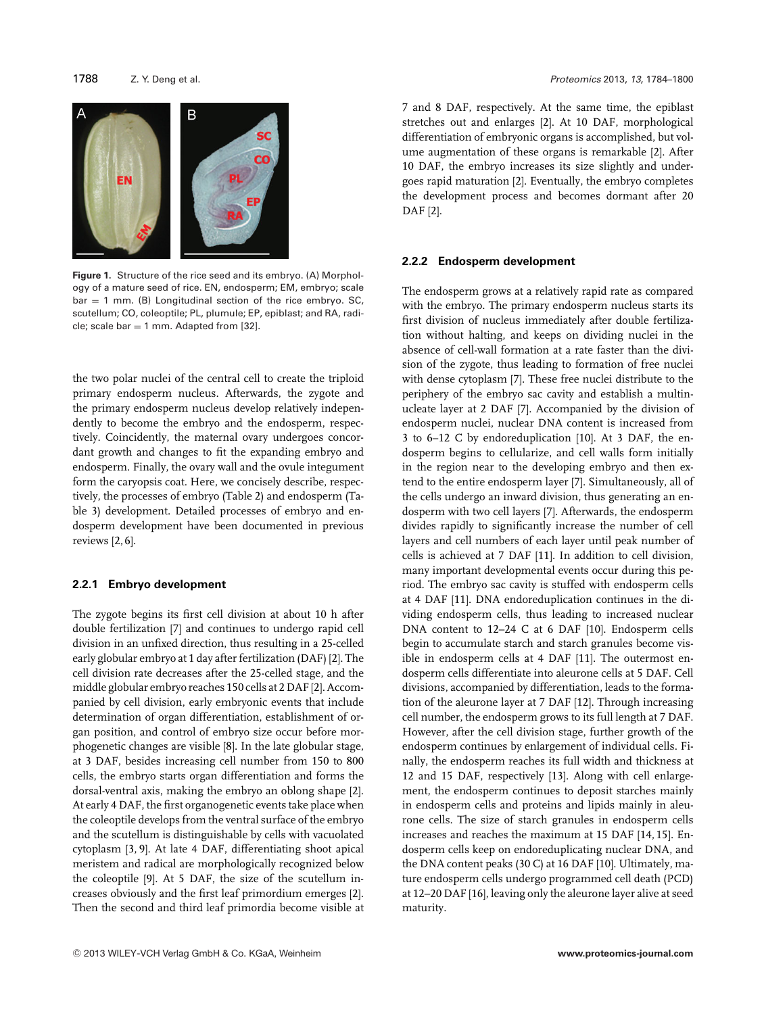

**Figure 1.** Structure of the rice seed and its embryo. (A) Morphology of a mature seed of rice. EN, endosperm; EM, embryo; scale  $bar = 1$  mm. (B) Longitudinal section of the rice embryo. SC, scutellum; CO, coleoptile; PL, plumule; EP, epiblast; and RA, radicle; scale  $bar = 1$  mm. Adapted from [32].

the two polar nuclei of the central cell to create the triploid primary endosperm nucleus. Afterwards, the zygote and the primary endosperm nucleus develop relatively independently to become the embryo and the endosperm, respectively. Coincidently, the maternal ovary undergoes concordant growth and changes to fit the expanding embryo and endosperm. Finally, the ovary wall and the ovule integument form the caryopsis coat. Here, we concisely describe, respectively, the processes of embryo (Table 2) and endosperm (Table 3) development. Detailed processes of embryo and endosperm development have been documented in previous reviews [2, 6].

#### **2.2.1 Embryo development**

The zygote begins its first cell division at about 10 h after double fertilization [7] and continues to undergo rapid cell division in an unfixed direction, thus resulting in a 25-celled early globular embryo at 1 day after fertilization (DAF) [2]. The cell division rate decreases after the 25-celled stage, and the middle globular embryo reaches 150 cells at 2 DAF [2]. Accompanied by cell division, early embryonic events that include determination of organ differentiation, establishment of organ position, and control of embryo size occur before morphogenetic changes are visible [8]. In the late globular stage, at 3 DAF, besides increasing cell number from 150 to 800 cells, the embryo starts organ differentiation and forms the dorsal-ventral axis, making the embryo an oblong shape [2]. At early 4 DAF, the first organogenetic events take place when the coleoptile develops from the ventral surface of the embryo and the scutellum is distinguishable by cells with vacuolated cytoplasm [3, 9]. At late 4 DAF, differentiating shoot apical meristem and radical are morphologically recognized below the coleoptile [9]. At 5 DAF, the size of the scutellum increases obviously and the first leaf primordium emerges [2]. Then the second and third leaf primordia become visible at 7 and 8 DAF, respectively. At the same time, the epiblast stretches out and enlarges [2]. At 10 DAF, morphological differentiation of embryonic organs is accomplished, but volume augmentation of these organs is remarkable [2]. After 10 DAF, the embryo increases its size slightly and undergoes rapid maturation [2]. Eventually, the embryo completes the development process and becomes dormant after 20 DAF [2].

#### **2.2.2 Endosperm development**

The endosperm grows at a relatively rapid rate as compared with the embryo. The primary endosperm nucleus starts its first division of nucleus immediately after double fertilization without halting, and keeps on dividing nuclei in the absence of cell-wall formation at a rate faster than the division of the zygote, thus leading to formation of free nuclei with dense cytoplasm [7]. These free nuclei distribute to the periphery of the embryo sac cavity and establish a multinucleate layer at 2 DAF [7]. Accompanied by the division of endosperm nuclei, nuclear DNA content is increased from 3 to 6–12 C by endoreduplication [10]. At 3 DAF, the endosperm begins to cellularize, and cell walls form initially in the region near to the developing embryo and then extend to the entire endosperm layer [7]. Simultaneously, all of the cells undergo an inward division, thus generating an endosperm with two cell layers [7]. Afterwards, the endosperm divides rapidly to significantly increase the number of cell layers and cell numbers of each layer until peak number of cells is achieved at 7 DAF [11]. In addition to cell division, many important developmental events occur during this period. The embryo sac cavity is stuffed with endosperm cells at 4 DAF [11]. DNA endoreduplication continues in the dividing endosperm cells, thus leading to increased nuclear DNA content to 12–24 C at 6 DAF [10]. Endosperm cells begin to accumulate starch and starch granules become visible in endosperm cells at 4 DAF [11]. The outermost endosperm cells differentiate into aleurone cells at 5 DAF. Cell divisions, accompanied by differentiation, leads to the formation of the aleurone layer at 7 DAF [12]. Through increasing cell number, the endosperm grows to its full length at 7 DAF. However, after the cell division stage, further growth of the endosperm continues by enlargement of individual cells. Finally, the endosperm reaches its full width and thickness at 12 and 15 DAF, respectively [13]. Along with cell enlargement, the endosperm continues to deposit starches mainly in endosperm cells and proteins and lipids mainly in aleurone cells. The size of starch granules in endosperm cells increases and reaches the maximum at 15 DAF [14, 15]. Endosperm cells keep on endoreduplicating nuclear DNA, and the DNA content peaks (30 C) at 16 DAF [10]. Ultimately, mature endosperm cells undergo programmed cell death (PCD) at 12–20 DAF [16], leaving only the aleurone layer alive at seed maturity.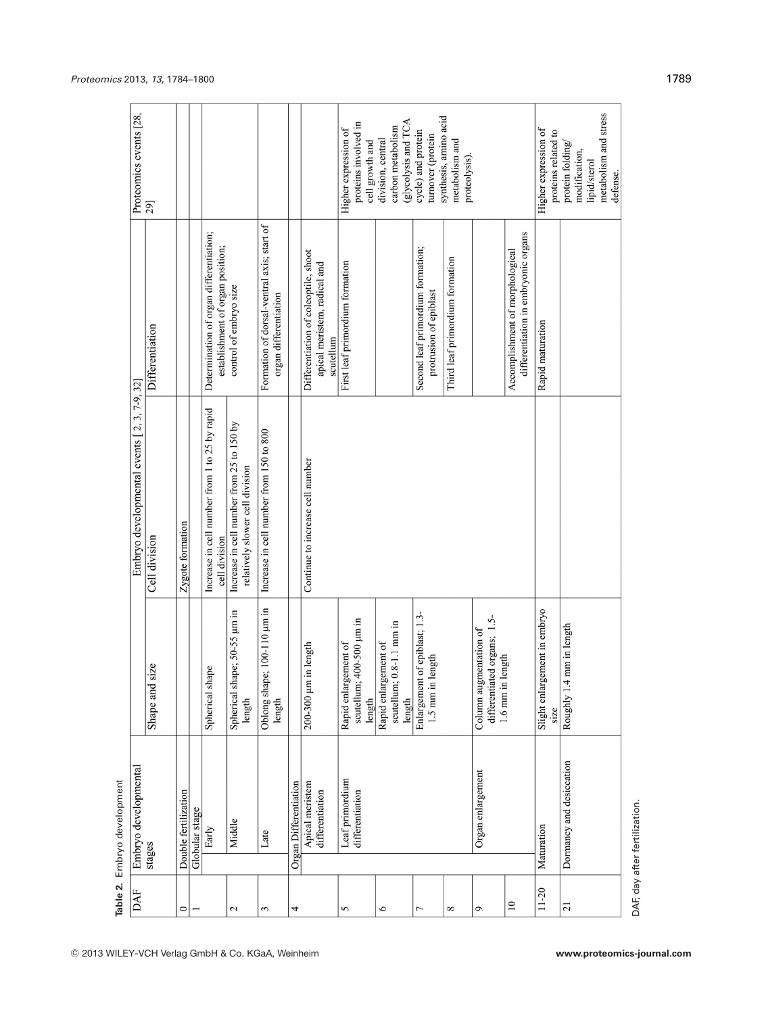|                 | Table 2. Embryo development        |                                                                              |                                                                              |                                                                                   |                                                                                        |
|-----------------|------------------------------------|------------------------------------------------------------------------------|------------------------------------------------------------------------------|-----------------------------------------------------------------------------------|----------------------------------------------------------------------------------------|
| DAF             | Embryo developmental               |                                                                              | $2, 3, 7-9, 32$<br>Embryo developmental events [                             |                                                                                   | Proteomics events [28,                                                                 |
|                 | stages                             | size<br>Shape and                                                            | Cell division                                                                | Differentiation                                                                   | 29]                                                                                    |
| $\circ$         | Double fertilization               |                                                                              | Zygote formation                                                             |                                                                                   |                                                                                        |
|                 | Globular stage                     |                                                                              |                                                                              |                                                                                   |                                                                                        |
|                 | Early                              | hape<br>Spherical sl                                                         | Increase in cell number from 1 to 25 by rapid<br>cell division               | Determination of organ differentiation;<br>establishment of organ position;       |                                                                                        |
| 2               | Middle                             | Spherical shape; 50-55 µm in<br>length                                       | Increase in cell number from 25 to 150 by<br>relatively slower cell division | control of embryo size                                                            |                                                                                        |
| 3               | Late                               | Oblong shape; 100-110 µm in<br>length                                        | Increase in cell number from 150 to 800                                      | Formation of dorsal-ventral axis; start of<br>organ differentiation               |                                                                                        |
| 4               | Organ Differentiation              |                                                                              |                                                                              |                                                                                   |                                                                                        |
|                 | Apical meristem<br>differentiation | $200-300$ $\mu$ m in length                                                  | Continue to increase cell number                                             | Differentiation of coleoptile, shoot<br>apical meristem, radical and<br>scutellum |                                                                                        |
| 5               | Leaf primordium<br>differentiation | scutellum; 400-500 µm in<br>Rapid enlargement of<br>length                   |                                                                              | First leaf primordium formation                                                   | proteins involved in<br>Higher expression of<br>cell growth and                        |
| 6               |                                    | scutellum; 0.8-1.1 mm in<br>Rapid enlargement of<br>length                   |                                                                              |                                                                                   | (glycolysis and TCA<br>carbon metabolism<br>division, central                          |
| 7               |                                    | Enlargement of epiblast; 1.3-<br>1.5 mm in length                            |                                                                              | Second leaf primordium formation;<br>protrusion of epiblast                       | cycle) and protein<br>turnover (protein                                                |
| $\infty$        |                                    |                                                                              |                                                                              | Third leaf primordium formation                                                   | synthesis, amino acid<br>metabolism and<br>proteolysis).                               |
| $\circ$         | Organ enlargement                  | differentiated organs; 1.5-<br>Column augmentation of<br>$1.6 \text{ mm in}$ |                                                                              |                                                                                   |                                                                                        |
| $\overline{10}$ |                                    | ı length                                                                     |                                                                              | differentiation in embryonic organs<br>Accomplishment of morphological            |                                                                                        |
| $11 - 20$       | Maturation                         | Slight enlargement in embryo<br>size                                         |                                                                              | Rapid maturation                                                                  | Higher expression of<br>proteins related to                                            |
| $\overline{c}$  | Dormancy and desiccation           | Roughly 1.4 mm in length                                                     |                                                                              |                                                                                   | metabolism and stress<br>protein folding/<br>modification,<br>lipid/sterol<br>defense. |
|                 | DAF, day after fertilization.      |                                                                              |                                                                              |                                                                                   |                                                                                        |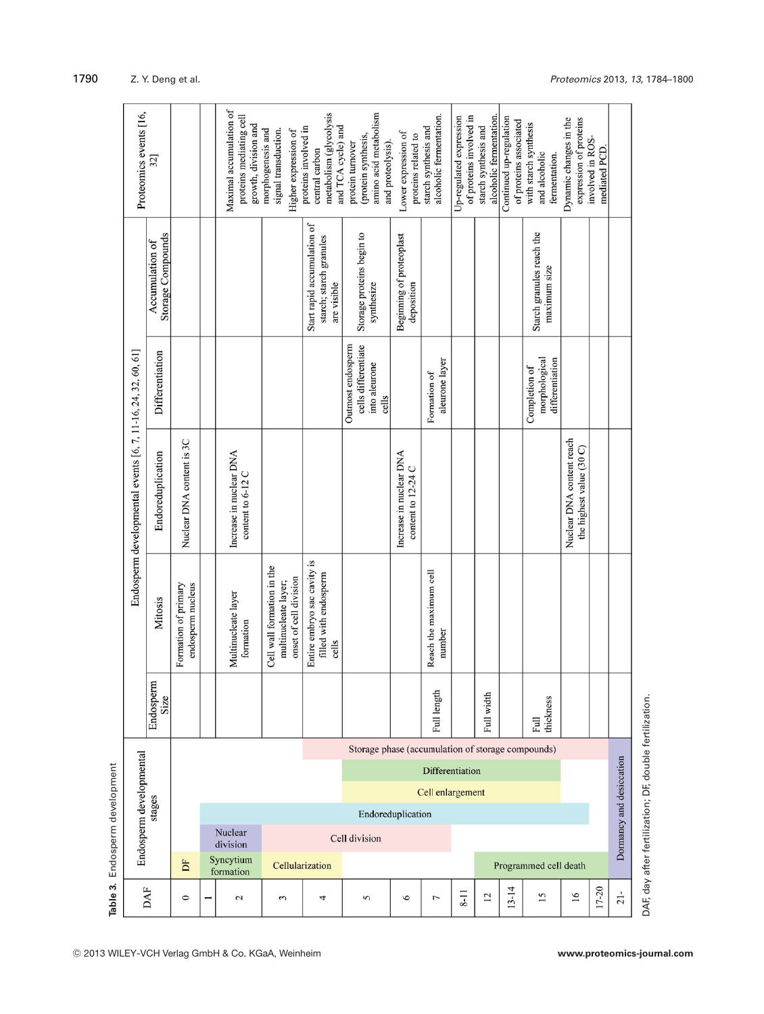| Table 3.  |                        |                                    | Endosperm development               |                                                   |                                                         |                                                                              |                                                              |                                                                    |                                                                       |                                                                                        |
|-----------|------------------------|------------------------------------|-------------------------------------|---------------------------------------------------|---------------------------------------------------------|------------------------------------------------------------------------------|--------------------------------------------------------------|--------------------------------------------------------------------|-----------------------------------------------------------------------|----------------------------------------------------------------------------------------|
|           |                        |                                    | Endosperm developmental             |                                                   |                                                         |                                                                              | Endosperm developmental events [6, 7, 11-16, 24, 32, 60, 61] |                                                                    |                                                                       | Proteomics events [16,                                                                 |
| DAF       |                        |                                    | stages                              |                                                   | Endosperm<br>Size                                       | Mitosis                                                                      | Endoreduplication                                            | Differentiation                                                    | <b>Storage Compounds</b><br>Accumulation of                           | 32]                                                                                    |
| $\circ$   | E                      |                                    |                                     |                                                   |                                                         | endosperm nucleus<br>Formation of primary                                    | Nuclear DNA content is 3C                                    |                                                                    |                                                                       |                                                                                        |
|           |                        |                                    |                                     |                                                   |                                                         |                                                                              |                                                              |                                                                    |                                                                       |                                                                                        |
| 2         | Syncytium<br>formation | Nuclear<br>division                |                                     |                                                   |                                                         | Multinucleate layer<br>formation                                             | Increase in nuclear DNA<br>content to 6-12 C                 |                                                                    |                                                                       | Maximal accumulation of<br>proteins mediating cell<br>growth, division and             |
| 3         | Cellularization        |                                    |                                     |                                                   |                                                         | Cell wall formation in the<br>onset of cell division<br>multinucleate layer; |                                                              |                                                                    |                                                                       | morphogenesis and<br>signal transduction.<br>Higher expression of                      |
| 4         |                        |                                    |                                     |                                                   |                                                         | Entire embryo sac cavity is<br>filled with endosperm<br>cells                |                                                              |                                                                    | Start rapid accumulation of<br>starch; starch granules<br>are visible | metabolism (glycolysis<br>proteins involved in<br>and TCA cycle) and<br>central carbon |
| 5         |                        | Endoreduplication<br>Cell division |                                     | Storage phase (accumulation of storage compounds) |                                                         |                                                                              |                                                              | cells differentiate<br>Outmost endosperm<br>into aleurone<br>cells | Storage proteins begin to<br>synthesize                               | amino acid metabolism<br>(protein synthesis,<br>and proteolysis).<br>protein turnover  |
| 6         |                        |                                    |                                     |                                                   |                                                         |                                                                              | Increase in nuclear DNA<br>content to $12-24$ C              |                                                                    | Beginning of proteoplast<br>deposition                                | Lower expression of<br>proteins related to                                             |
| 7         |                        |                                    | Differentiation<br>Cell enlargement |                                                   | Full length                                             | Reach the maximum cell<br>number                                             |                                                              | aleurone layer<br>Formation of                                     |                                                                       | alcoholic fermentation.<br>starch synthesis and                                        |
| $8-11$    |                        |                                    |                                     |                                                   |                                                         |                                                                              |                                                              |                                                                    |                                                                       | of proteins involved in<br>Up-regulated expression                                     |
| 12        |                        |                                    |                                     |                                                   | Full width                                              |                                                                              |                                                              |                                                                    |                                                                       | alcoholic fermentation.<br>starch synthesis and                                        |
| $13 - 14$ |                        |                                    |                                     |                                                   |                                                         |                                                                              |                                                              |                                                                    |                                                                       | Continued up-regulation<br>of proteins associated                                      |
| 15        | Programmed cell death  |                                    |                                     |                                                   | thickness<br>Full                                       |                                                                              |                                                              | morphological<br>differentiation<br>Completion of                  | Starch granules reach the<br>maximum size                             | with starch synthesis<br>and alcoholic<br>fermentation.                                |
| 16        |                        |                                    |                                     |                                                   |                                                         |                                                                              | Nuclear DNA content reach<br>the highest value (30 C)        |                                                                    |                                                                       | Dynamic changes in the<br>expression of proteins                                       |
| $17 - 20$ |                        |                                    |                                     |                                                   |                                                         |                                                                              |                                                              |                                                                    |                                                                       | involved in ROS-<br>mediated PCD.                                                      |
| $21 -$    |                        |                                    | Dormancy and desiccation            |                                                   |                                                         |                                                                              |                                                              |                                                                    |                                                                       |                                                                                        |
|           |                        |                                    |                                     |                                                   | DAF, day after fertilization; DF, double fertilization. |                                                                              |                                                              |                                                                    |                                                                       |                                                                                        |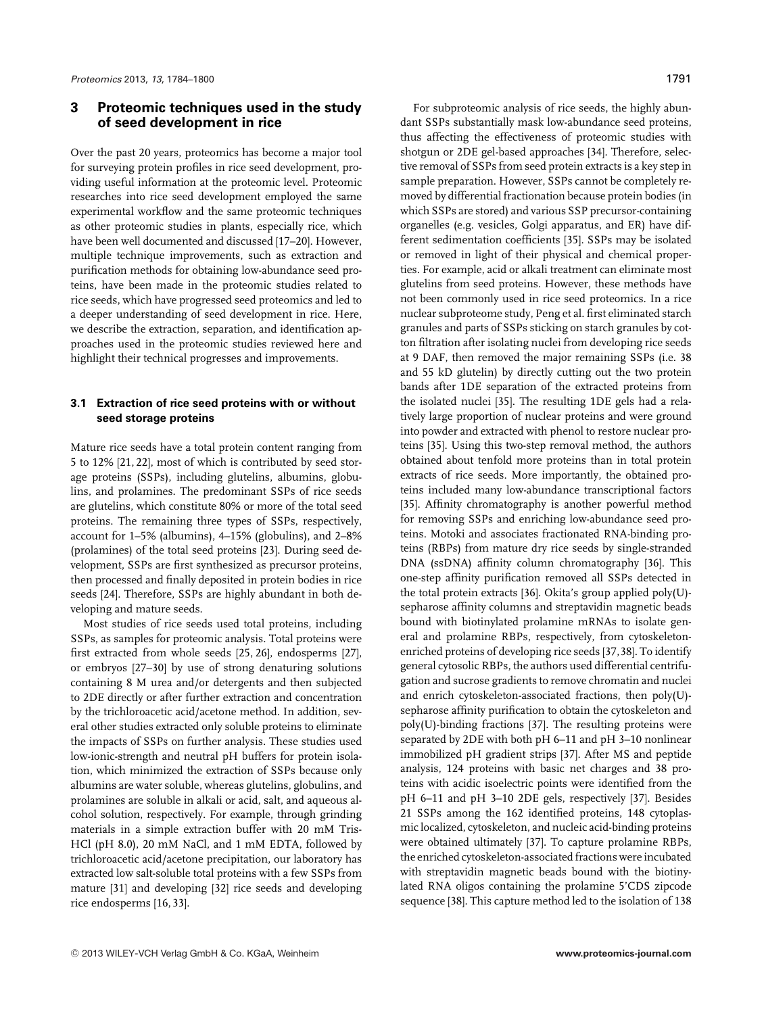## **3 Proteomic techniques used in the study of seed development in rice**

Over the past 20 years, proteomics has become a major tool for surveying protein profiles in rice seed development, providing useful information at the proteomic level. Proteomic researches into rice seed development employed the same experimental workflow and the same proteomic techniques as other proteomic studies in plants, especially rice, which have been well documented and discussed [17–20]. However, multiple technique improvements, such as extraction and purification methods for obtaining low-abundance seed proteins, have been made in the proteomic studies related to rice seeds, which have progressed seed proteomics and led to a deeper understanding of seed development in rice. Here, we describe the extraction, separation, and identification approaches used in the proteomic studies reviewed here and highlight their technical progresses and improvements.

### **3.1 Extraction of rice seed proteins with or without seed storage proteins**

Mature rice seeds have a total protein content ranging from 5 to 12% [21, 22], most of which is contributed by seed storage proteins (SSPs), including glutelins, albumins, globulins, and prolamines. The predominant SSPs of rice seeds are glutelins, which constitute 80% or more of the total seed proteins. The remaining three types of SSPs, respectively, account for 1–5% (albumins), 4–15% (globulins), and 2–8% (prolamines) of the total seed proteins [23]. During seed development, SSPs are first synthesized as precursor proteins, then processed and finally deposited in protein bodies in rice seeds [24]. Therefore, SSPs are highly abundant in both developing and mature seeds.

Most studies of rice seeds used total proteins, including SSPs, as samples for proteomic analysis. Total proteins were first extracted from whole seeds [25, 26], endosperms [27], or embryos [27–30] by use of strong denaturing solutions containing 8 M urea and/or detergents and then subjected to 2DE directly or after further extraction and concentration by the trichloroacetic acid/acetone method. In addition, several other studies extracted only soluble proteins to eliminate the impacts of SSPs on further analysis. These studies used low-ionic-strength and neutral pH buffers for protein isolation, which minimized the extraction of SSPs because only albumins are water soluble, whereas glutelins, globulins, and prolamines are soluble in alkali or acid, salt, and aqueous alcohol solution, respectively. For example, through grinding materials in a simple extraction buffer with 20 mM Tris-HCl (pH 8.0), 20 mM NaCl, and 1 mM EDTA, followed by trichloroacetic acid/acetone precipitation, our laboratory has extracted low salt-soluble total proteins with a few SSPs from mature [31] and developing [32] rice seeds and developing rice endosperms [16, 33].

For subproteomic analysis of rice seeds, the highly abundant SSPs substantially mask low-abundance seed proteins, thus affecting the effectiveness of proteomic studies with shotgun or 2DE gel-based approaches [34]. Therefore, selective removal of SSPs from seed protein extracts is a key step in sample preparation. However, SSPs cannot be completely removed by differential fractionation because protein bodies (in which SSPs are stored) and various SSP precursor-containing organelles (e.g. vesicles, Golgi apparatus, and ER) have different sedimentation coefficients [35]. SSPs may be isolated or removed in light of their physical and chemical properties. For example, acid or alkali treatment can eliminate most glutelins from seed proteins. However, these methods have not been commonly used in rice seed proteomics. In a rice nuclear subproteome study, Peng et al. first eliminated starch granules and parts of SSPs sticking on starch granules by cotton filtration after isolating nuclei from developing rice seeds at 9 DAF, then removed the major remaining SSPs (i.e. 38 and 55 kD glutelin) by directly cutting out the two protein bands after 1DE separation of the extracted proteins from the isolated nuclei [35]. The resulting 1DE gels had a relatively large proportion of nuclear proteins and were ground into powder and extracted with phenol to restore nuclear proteins [35]. Using this two-step removal method, the authors obtained about tenfold more proteins than in total protein extracts of rice seeds. More importantly, the obtained proteins included many low-abundance transcriptional factors [35]. Affinity chromatography is another powerful method for removing SSPs and enriching low-abundance seed proteins. Motoki and associates fractionated RNA-binding proteins (RBPs) from mature dry rice seeds by single-stranded DNA (ssDNA) affinity column chromatography [36]. This one-step affinity purification removed all SSPs detected in the total protein extracts [36]. Okita's group applied poly(U) sepharose affinity columns and streptavidin magnetic beads bound with biotinylated prolamine mRNAs to isolate general and prolamine RBPs, respectively, from cytoskeletonenriched proteins of developing rice seeds [37,38]. To identify general cytosolic RBPs, the authors used differential centrifugation and sucrose gradients to remove chromatin and nuclei and enrich cytoskeleton-associated fractions, then poly(U) sepharose affinity purification to obtain the cytoskeleton and poly(U)-binding fractions [37]. The resulting proteins were separated by 2DE with both pH 6–11 and pH 3–10 nonlinear immobilized pH gradient strips [37]. After MS and peptide analysis, 124 proteins with basic net charges and 38 proteins with acidic isoelectric points were identified from the pH 6–11 and pH 3–10 2DE gels, respectively [37]. Besides 21 SSPs among the 162 identified proteins, 148 cytoplasmic localized, cytoskeleton, and nucleic acid-binding proteins were obtained ultimately [37]. To capture prolamine RBPs, the enriched cytoskeleton-associated fractions were incubated with streptavidin magnetic beads bound with the biotinylated RNA oligos containing the prolamine 5'CDS zipcode sequence [38]. This capture method led to the isolation of 138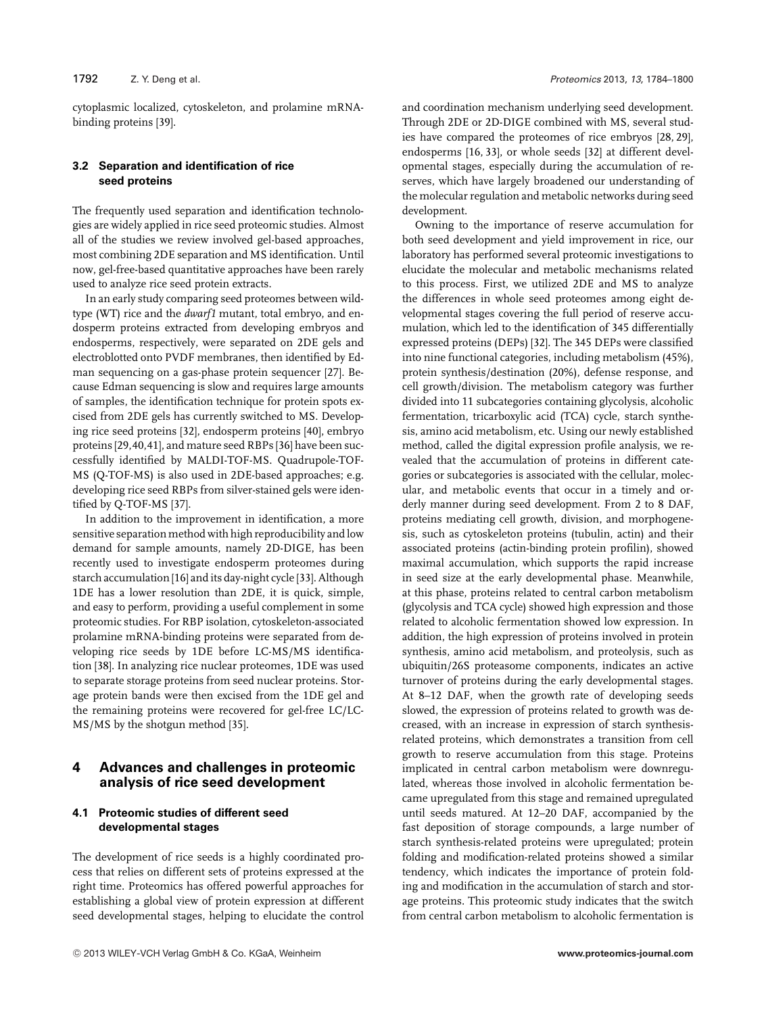cytoplasmic localized, cytoskeleton, and prolamine mRNAbinding proteins [39].

## **3.2 Separation and identification of rice seed proteins**

The frequently used separation and identification technologies are widely applied in rice seed proteomic studies. Almost all of the studies we review involved gel-based approaches, most combining 2DE separation and MS identification. Until now, gel-free-based quantitative approaches have been rarely used to analyze rice seed protein extracts.

In an early study comparing seed proteomes between wildtype (WT) rice and the *dwarf1* mutant, total embryo, and endosperm proteins extracted from developing embryos and endosperms, respectively, were separated on 2DE gels and electroblotted onto PVDF membranes, then identified by Edman sequencing on a gas-phase protein sequencer [27]. Because Edman sequencing is slow and requires large amounts of samples, the identification technique for protein spots excised from 2DE gels has currently switched to MS. Developing rice seed proteins [32], endosperm proteins [40], embryo proteins [29,40,41], and mature seed RBPs [36] have been successfully identified by MALDI-TOF-MS. Quadrupole-TOF-MS (Q-TOF-MS) is also used in 2DE-based approaches; e.g. developing rice seed RBPs from silver-stained gels were identified by Q-TOF-MS [37].

In addition to the improvement in identification, a more sensitive separation method with high reproducibility and low demand for sample amounts, namely 2D-DIGE, has been recently used to investigate endosperm proteomes during starch accumulation [16] and its day-night cycle [33]. Although 1DE has a lower resolution than 2DE, it is quick, simple, and easy to perform, providing a useful complement in some proteomic studies. For RBP isolation, cytoskeleton-associated prolamine mRNA-binding proteins were separated from developing rice seeds by 1DE before LC-MS/MS identification [38]. In analyzing rice nuclear proteomes, 1DE was used to separate storage proteins from seed nuclear proteins. Storage protein bands were then excised from the 1DE gel and the remaining proteins were recovered for gel-free LC/LC-MS/MS by the shotgun method [35].

# **4 Advances and challenges in proteomic analysis of rice seed development**

## **4.1 Proteomic studies of different seed developmental stages**

The development of rice seeds is a highly coordinated process that relies on different sets of proteins expressed at the right time. Proteomics has offered powerful approaches for establishing a global view of protein expression at different seed developmental stages, helping to elucidate the control and coordination mechanism underlying seed development. Through 2DE or 2D-DIGE combined with MS, several studies have compared the proteomes of rice embryos [28, 29], endosperms [16, 33], or whole seeds [32] at different developmental stages, especially during the accumulation of reserves, which have largely broadened our understanding of the molecular regulation and metabolic networks during seed development.

Owning to the importance of reserve accumulation for both seed development and yield improvement in rice, our laboratory has performed several proteomic investigations to elucidate the molecular and metabolic mechanisms related to this process. First, we utilized 2DE and MS to analyze the differences in whole seed proteomes among eight developmental stages covering the full period of reserve accumulation, which led to the identification of 345 differentially expressed proteins (DEPs) [32]. The 345 DEPs were classified into nine functional categories, including metabolism (45%), protein synthesis/destination (20%), defense response, and cell growth/division. The metabolism category was further divided into 11 subcategories containing glycolysis, alcoholic fermentation, tricarboxylic acid (TCA) cycle, starch synthesis, amino acid metabolism, etc. Using our newly established method, called the digital expression profile analysis, we revealed that the accumulation of proteins in different categories or subcategories is associated with the cellular, molecular, and metabolic events that occur in a timely and orderly manner during seed development. From 2 to 8 DAF, proteins mediating cell growth, division, and morphogenesis, such as cytoskeleton proteins (tubulin, actin) and their associated proteins (actin-binding protein profilin), showed maximal accumulation, which supports the rapid increase in seed size at the early developmental phase. Meanwhile, at this phase, proteins related to central carbon metabolism (glycolysis and TCA cycle) showed high expression and those related to alcoholic fermentation showed low expression. In addition, the high expression of proteins involved in protein synthesis, amino acid metabolism, and proteolysis, such as ubiquitin/26S proteasome components, indicates an active turnover of proteins during the early developmental stages. At 8–12 DAF, when the growth rate of developing seeds slowed, the expression of proteins related to growth was decreased, with an increase in expression of starch synthesisrelated proteins, which demonstrates a transition from cell growth to reserve accumulation from this stage. Proteins implicated in central carbon metabolism were downregulated, whereas those involved in alcoholic fermentation became upregulated from this stage and remained upregulated until seeds matured. At 12–20 DAF, accompanied by the fast deposition of storage compounds, a large number of starch synthesis-related proteins were upregulated; protein folding and modification-related proteins showed a similar tendency, which indicates the importance of protein folding and modification in the accumulation of starch and storage proteins. This proteomic study indicates that the switch from central carbon metabolism to alcoholic fermentation is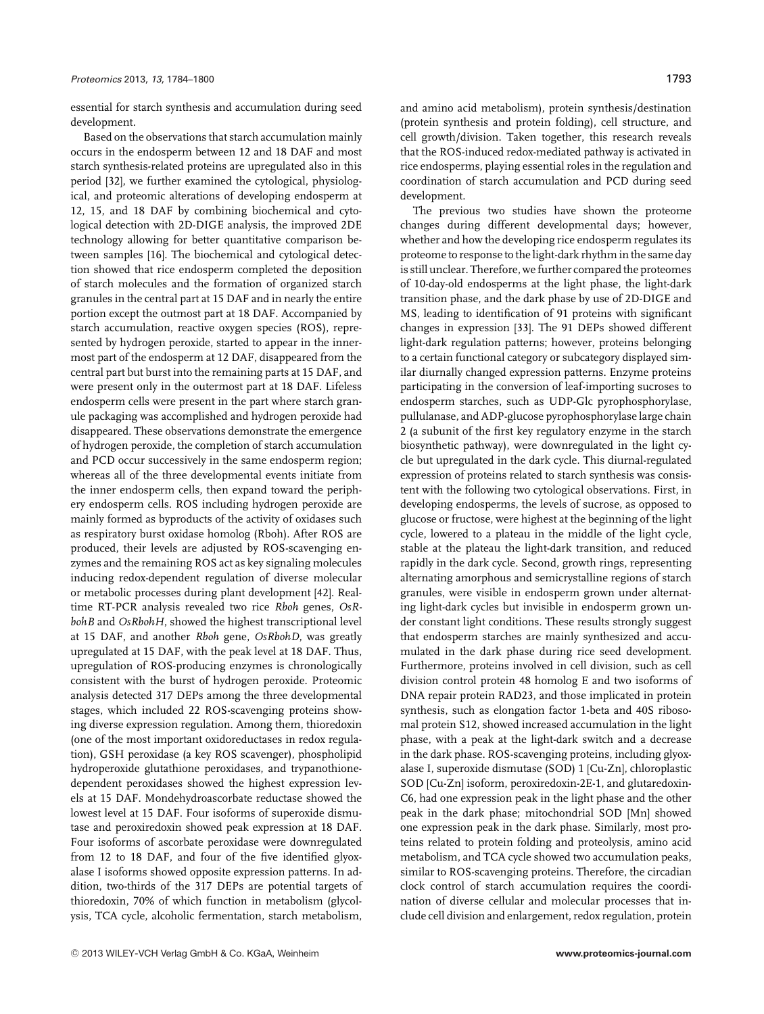essential for starch synthesis and accumulation during seed development.

Based on the observations that starch accumulation mainly occurs in the endosperm between 12 and 18 DAF and most starch synthesis-related proteins are upregulated also in this period [32], we further examined the cytological, physiological, and proteomic alterations of developing endosperm at 12, 15, and 18 DAF by combining biochemical and cytological detection with 2D-DIGE analysis, the improved 2DE technology allowing for better quantitative comparison between samples [16]. The biochemical and cytological detection showed that rice endosperm completed the deposition of starch molecules and the formation of organized starch granules in the central part at 15 DAF and in nearly the entire portion except the outmost part at 18 DAF. Accompanied by starch accumulation, reactive oxygen species (ROS), represented by hydrogen peroxide, started to appear in the innermost part of the endosperm at 12 DAF, disappeared from the central part but burst into the remaining parts at 15 DAF, and were present only in the outermost part at 18 DAF. Lifeless endosperm cells were present in the part where starch granule packaging was accomplished and hydrogen peroxide had disappeared. These observations demonstrate the emergence of hydrogen peroxide, the completion of starch accumulation and PCD occur successively in the same endosperm region; whereas all of the three developmental events initiate from the inner endosperm cells, then expand toward the periphery endosperm cells. ROS including hydrogen peroxide are mainly formed as byproducts of the activity of oxidases such as respiratory burst oxidase homolog (Rboh). After ROS are produced, their levels are adjusted by ROS-scavenging enzymes and the remaining ROS act as key signaling molecules inducing redox-dependent regulation of diverse molecular or metabolic processes during plant development [42]. Realtime RT-PCR analysis revealed two rice *Rboh* genes, *OsRbohB* and *OsRbohH*, showed the highest transcriptional level at 15 DAF, and another *Rboh* gene, *OsRbohD*, was greatly upregulated at 15 DAF, with the peak level at 18 DAF. Thus, upregulation of ROS-producing enzymes is chronologically consistent with the burst of hydrogen peroxide. Proteomic analysis detected 317 DEPs among the three developmental stages, which included 22 ROS-scavenging proteins showing diverse expression regulation. Among them, thioredoxin (one of the most important oxidoreductases in redox regulation), GSH peroxidase (a key ROS scavenger), phospholipid hydroperoxide glutathione peroxidases, and trypanothionedependent peroxidases showed the highest expression levels at 15 DAF. Mondehydroascorbate reductase showed the lowest level at 15 DAF. Four isoforms of superoxide dismutase and peroxiredoxin showed peak expression at 18 DAF. Four isoforms of ascorbate peroxidase were downregulated from 12 to 18 DAF, and four of the five identified glyoxalase I isoforms showed opposite expression patterns. In addition, two-thirds of the 317 DEPs are potential targets of thioredoxin, 70% of which function in metabolism (glycolysis, TCA cycle, alcoholic fermentation, starch metabolism,

and amino acid metabolism), protein synthesis/destination (protein synthesis and protein folding), cell structure, and cell growth/division. Taken together, this research reveals that the ROS-induced redox-mediated pathway is activated in rice endosperms, playing essential roles in the regulation and coordination of starch accumulation and PCD during seed development.

The previous two studies have shown the proteome changes during different developmental days; however, whether and how the developing rice endosperm regulates its proteome to response to the light-dark rhythm in the same day is still unclear. Therefore, we further compared the proteomes of 10-day-old endosperms at the light phase, the light-dark transition phase, and the dark phase by use of 2D-DIGE and MS, leading to identification of 91 proteins with significant changes in expression [33]. The 91 DEPs showed different light-dark regulation patterns; however, proteins belonging to a certain functional category or subcategory displayed similar diurnally changed expression patterns. Enzyme proteins participating in the conversion of leaf-importing sucroses to endosperm starches, such as UDP-Glc pyrophosphorylase, pullulanase, and ADP-glucose pyrophosphorylase large chain 2 (a subunit of the first key regulatory enzyme in the starch biosynthetic pathway), were downregulated in the light cycle but upregulated in the dark cycle. This diurnal-regulated expression of proteins related to starch synthesis was consistent with the following two cytological observations. First, in developing endosperms, the levels of sucrose, as opposed to glucose or fructose, were highest at the beginning of the light cycle, lowered to a plateau in the middle of the light cycle, stable at the plateau the light-dark transition, and reduced rapidly in the dark cycle. Second, growth rings, representing alternating amorphous and semicrystalline regions of starch granules, were visible in endosperm grown under alternating light-dark cycles but invisible in endosperm grown under constant light conditions. These results strongly suggest that endosperm starches are mainly synthesized and accumulated in the dark phase during rice seed development. Furthermore, proteins involved in cell division, such as cell division control protein 48 homolog E and two isoforms of DNA repair protein RAD23, and those implicated in protein synthesis, such as elongation factor 1-beta and 40S ribosomal protein S12, showed increased accumulation in the light phase, with a peak at the light-dark switch and a decrease in the dark phase. ROS-scavenging proteins, including glyoxalase I, superoxide dismutase (SOD) 1 [Cu-Zn], chloroplastic SOD [Cu-Zn] isoform, peroxiredoxin-2E-1, and glutaredoxin-C6, had one expression peak in the light phase and the other peak in the dark phase; mitochondrial SOD [Mn] showed one expression peak in the dark phase. Similarly, most proteins related to protein folding and proteolysis, amino acid metabolism, and TCA cycle showed two accumulation peaks, similar to ROS-scavenging proteins. Therefore, the circadian clock control of starch accumulation requires the coordination of diverse cellular and molecular processes that include cell division and enlargement, redox regulation, protein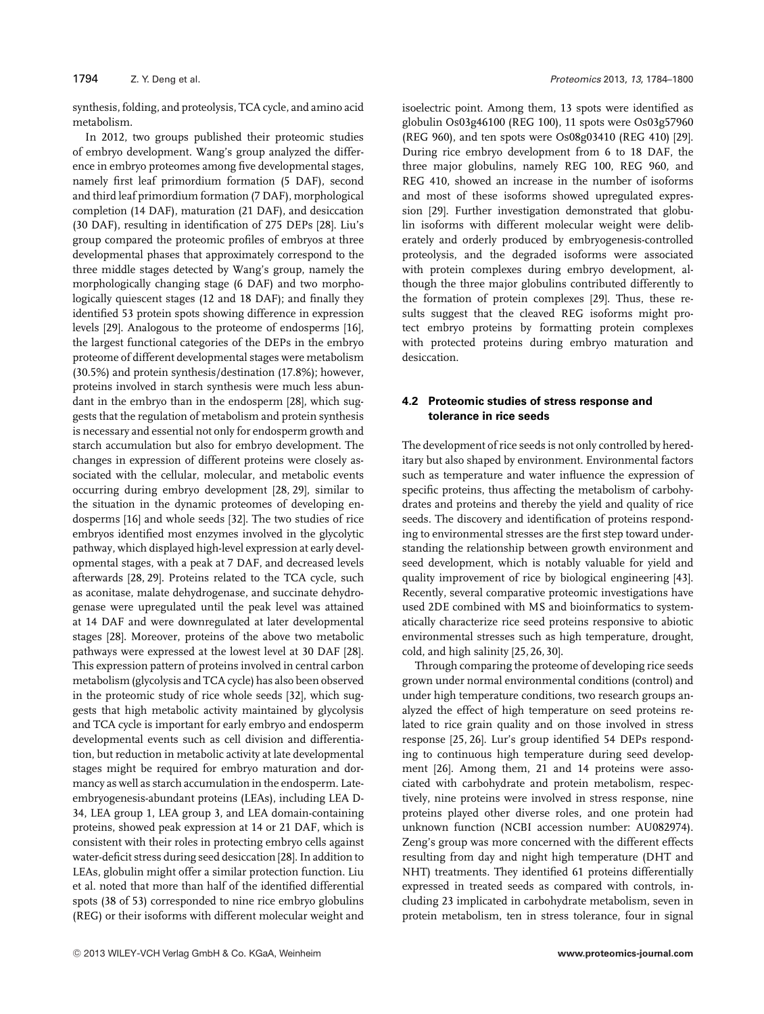synthesis, folding, and proteolysis, TCA cycle, and amino acid metabolism.

In 2012, two groups published their proteomic studies of embryo development. Wang's group analyzed the difference in embryo proteomes among five developmental stages, namely first leaf primordium formation (5 DAF), second and third leaf primordium formation (7 DAF), morphological completion (14 DAF), maturation (21 DAF), and desiccation (30 DAF), resulting in identification of 275 DEPs [28]. Liu's group compared the proteomic profiles of embryos at three developmental phases that approximately correspond to the three middle stages detected by Wang's group, namely the morphologically changing stage (6 DAF) and two morphologically quiescent stages (12 and 18 DAF); and finally they identified 53 protein spots showing difference in expression levels [29]. Analogous to the proteome of endosperms [16], the largest functional categories of the DEPs in the embryo proteome of different developmental stages were metabolism (30.5%) and protein synthesis/destination (17.8%); however, proteins involved in starch synthesis were much less abundant in the embryo than in the endosperm [28], which suggests that the regulation of metabolism and protein synthesis is necessary and essential not only for endosperm growth and starch accumulation but also for embryo development. The changes in expression of different proteins were closely associated with the cellular, molecular, and metabolic events occurring during embryo development [28, 29], similar to the situation in the dynamic proteomes of developing endosperms [16] and whole seeds [32]. The two studies of rice embryos identified most enzymes involved in the glycolytic pathway, which displayed high-level expression at early developmental stages, with a peak at 7 DAF, and decreased levels afterwards [28, 29]. Proteins related to the TCA cycle, such as aconitase, malate dehydrogenase, and succinate dehydrogenase were upregulated until the peak level was attained at 14 DAF and were downregulated at later developmental stages [28]. Moreover, proteins of the above two metabolic pathways were expressed at the lowest level at 30 DAF [28]. This expression pattern of proteins involved in central carbon metabolism (glycolysis and TCA cycle) has also been observed in the proteomic study of rice whole seeds [32], which suggests that high metabolic activity maintained by glycolysis and TCA cycle is important for early embryo and endosperm developmental events such as cell division and differentiation, but reduction in metabolic activity at late developmental stages might be required for embryo maturation and dormancy as well as starch accumulation in the endosperm. Lateembryogenesis-abundant proteins (LEAs), including LEA D-34, LEA group 1, LEA group 3, and LEA domain-containing proteins, showed peak expression at 14 or 21 DAF, which is consistent with their roles in protecting embryo cells against water-deficit stress during seed desiccation [28]. In addition to LEAs, globulin might offer a similar protection function. Liu et al. noted that more than half of the identified differential spots (38 of 53) corresponded to nine rice embryo globulins (REG) or their isoforms with different molecular weight and isoelectric point. Among them, 13 spots were identified as globulin Os03g46100 (REG 100), 11 spots were Os03g57960 (REG 960), and ten spots were Os08g03410 (REG 410) [29]. During rice embryo development from 6 to 18 DAF, the three major globulins, namely REG 100, REG 960, and REG 410, showed an increase in the number of isoforms and most of these isoforms showed upregulated expression [29]. Further investigation demonstrated that globulin isoforms with different molecular weight were deliberately and orderly produced by embryogenesis-controlled proteolysis, and the degraded isoforms were associated with protein complexes during embryo development, although the three major globulins contributed differently to the formation of protein complexes [29]. Thus, these results suggest that the cleaved REG isoforms might protect embryo proteins by formatting protein complexes with protected proteins during embryo maturation and desiccation.

#### **4.2 Proteomic studies of stress response and tolerance in rice seeds**

The development of rice seeds is not only controlled by hereditary but also shaped by environment. Environmental factors such as temperature and water influence the expression of specific proteins, thus affecting the metabolism of carbohydrates and proteins and thereby the yield and quality of rice seeds. The discovery and identification of proteins responding to environmental stresses are the first step toward understanding the relationship between growth environment and seed development, which is notably valuable for yield and quality improvement of rice by biological engineering [43]. Recently, several comparative proteomic investigations have used 2DE combined with MS and bioinformatics to systematically characterize rice seed proteins responsive to abiotic environmental stresses such as high temperature, drought, cold, and high salinity [25, 26, 30].

Through comparing the proteome of developing rice seeds grown under normal environmental conditions (control) and under high temperature conditions, two research groups analyzed the effect of high temperature on seed proteins related to rice grain quality and on those involved in stress response [25, 26]. Lur's group identified 54 DEPs responding to continuous high temperature during seed development [26]. Among them, 21 and 14 proteins were associated with carbohydrate and protein metabolism, respectively, nine proteins were involved in stress response, nine proteins played other diverse roles, and one protein had unknown function (NCBI accession number: AU082974). Zeng's group was more concerned with the different effects resulting from day and night high temperature (DHT and NHT) treatments. They identified 61 proteins differentially expressed in treated seeds as compared with controls, including 23 implicated in carbohydrate metabolism, seven in protein metabolism, ten in stress tolerance, four in signal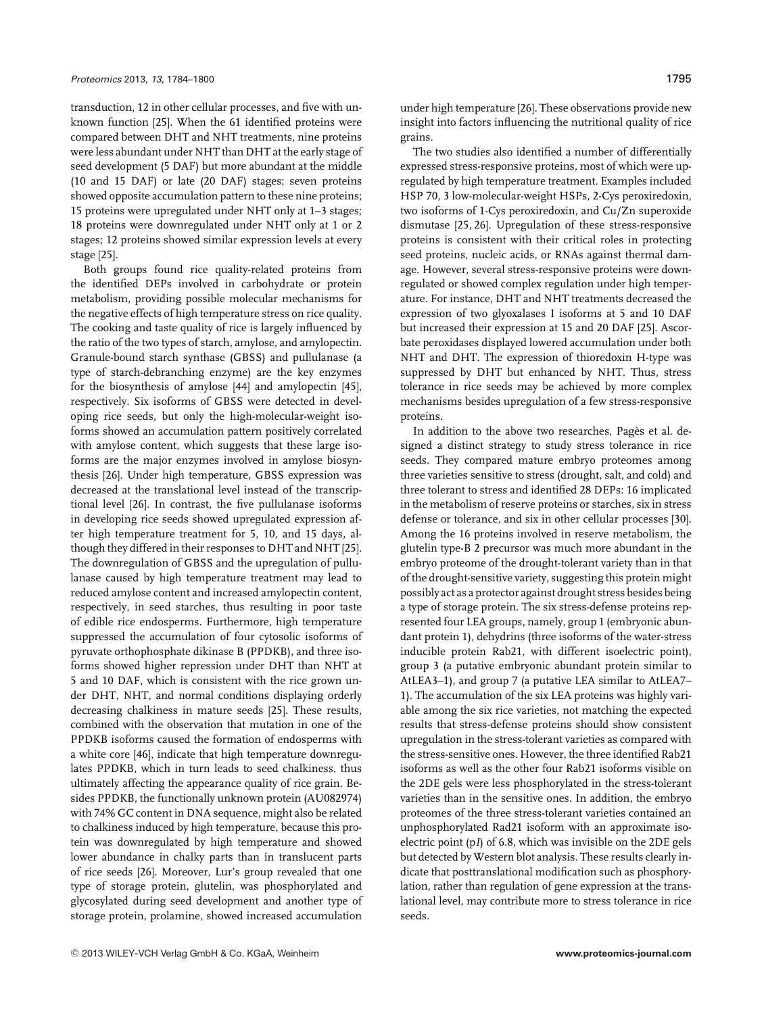transduction, 12 in other cellular processes, and five with unknown function [25]. When the 61 identified proteins were compared between DHT and NHT treatments, nine proteins were less abundant under NHT than DHT at the early stage of seed development (5 DAF) but more abundant at the middle (10 and 15 DAF) or late (20 DAF) stages; seven proteins showed opposite accumulation pattern to these nine proteins; 15 proteins were upregulated under NHT only at 1–3 stages; 18 proteins were downregulated under NHT only at 1 or 2 stages; 12 proteins showed similar expression levels at every stage [25].

Both groups found rice quality-related proteins from the identified DEPs involved in carbohydrate or protein metabolism, providing possible molecular mechanisms for the negative effects of high temperature stress on rice quality. The cooking and taste quality of rice is largely influenced by the ratio of the two types of starch, amylose, and amylopectin. Granule-bound starch synthase (GBSS) and pullulanase (a type of starch-debranching enzyme) are the key enzymes for the biosynthesis of amylose [44] and amylopectin [45], respectively. Six isoforms of GBSS were detected in developing rice seeds, but only the high-molecular-weight isoforms showed an accumulation pattern positively correlated with amylose content, which suggests that these large isoforms are the major enzymes involved in amylose biosynthesis [26]. Under high temperature, GBSS expression was decreased at the translational level instead of the transcriptional level [26]. In contrast, the five pullulanase isoforms in developing rice seeds showed upregulated expression after high temperature treatment for 5, 10, and 15 days, although they differed in their responses to DHT and NHT [25]. The downregulation of GBSS and the upregulation of pullulanase caused by high temperature treatment may lead to reduced amylose content and increased amylopectin content, respectively, in seed starches, thus resulting in poor taste of edible rice endosperms. Furthermore, high temperature suppressed the accumulation of four cytosolic isoforms of pyruvate orthophosphate dikinase B (PPDKB), and three isoforms showed higher repression under DHT than NHT at 5 and 10 DAF, which is consistent with the rice grown under DHT, NHT, and normal conditions displaying orderly decreasing chalkiness in mature seeds [25]. These results, combined with the observation that mutation in one of the PPDKB isoforms caused the formation of endosperms with a white core [46], indicate that high temperature downregulates PPDKB, which in turn leads to seed chalkiness, thus ultimately affecting the appearance quality of rice grain. Besides PPDKB, the functionally unknown protein (AU082974) with 74% GC content in DNA sequence, might also be related to chalkiness induced by high temperature, because this protein was downregulated by high temperature and showed lower abundance in chalky parts than in translucent parts of rice seeds [26]. Moreover, Lur's group revealed that one type of storage protein, glutelin, was phosphorylated and glycosylated during seed development and another type of storage protein, prolamine, showed increased accumulation

under high temperature [26]. These observations provide new insight into factors influencing the nutritional quality of rice grains.

The two studies also identified a number of differentially expressed stress-responsive proteins, most of which were upregulated by high temperature treatment. Examples included HSP 70, 3 low-molecular-weight HSPs, 2-Cys peroxiredoxin, two isoforms of 1-Cys peroxiredoxin, and Cu/Zn superoxide dismutase [25, 26]. Upregulation of these stress-responsive proteins is consistent with their critical roles in protecting seed proteins, nucleic acids, or RNAs against thermal damage. However, several stress-responsive proteins were downregulated or showed complex regulation under high temperature. For instance, DHT and NHT treatments decreased the expression of two glyoxalases I isoforms at 5 and 10 DAF but increased their expression at 15 and 20 DAF [25]. Ascorbate peroxidases displayed lowered accumulation under both NHT and DHT. The expression of thioredoxin H-type was suppressed by DHT but enhanced by NHT. Thus, stress tolerance in rice seeds may be achieved by more complex mechanisms besides upregulation of a few stress-responsive proteins.

In addition to the above two researches, Pagès et al. designed a distinct strategy to study stress tolerance in rice seeds. They compared mature embryo proteomes among three varieties sensitive to stress (drought, salt, and cold) and three tolerant to stress and identified 28 DEPs: 16 implicated in the metabolism of reserve proteins or starches, six in stress defense or tolerance, and six in other cellular processes [30]. Among the 16 proteins involved in reserve metabolism, the glutelin type-B 2 precursor was much more abundant in the embryo proteome of the drought-tolerant variety than in that of the drought-sensitive variety, suggesting this protein might possibly act as a protector against drought stress besides being a type of storage protein. The six stress-defense proteins represented four LEA groups, namely, group 1 (embryonic abundant protein 1), dehydrins (three isoforms of the water-stress inducible protein Rab21, with different isoelectric point), group 3 (a putative embryonic abundant protein similar to AtLEA3–1), and group 7 (a putative LEA similar to AtLEA7– 1). The accumulation of the six LEA proteins was highly variable among the six rice varieties, not matching the expected results that stress-defense proteins should show consistent upregulation in the stress-tolerant varieties as compared with the stress-sensitive ones. However, the three identified Rab21 isoforms as well as the other four Rab21 isoforms visible on the 2DE gels were less phosphorylated in the stress-tolerant varieties than in the sensitive ones. In addition, the embryo proteomes of the three stress-tolerant varieties contained an unphosphorylated Rad21 isoform with an approximate isoelectric point (p*I*) of 6.8, which was invisible on the 2DE gels but detected by Western blot analysis. These results clearly indicate that posttranslational modification such as phosphorylation, rather than regulation of gene expression at the translational level, may contribute more to stress tolerance in rice seeds.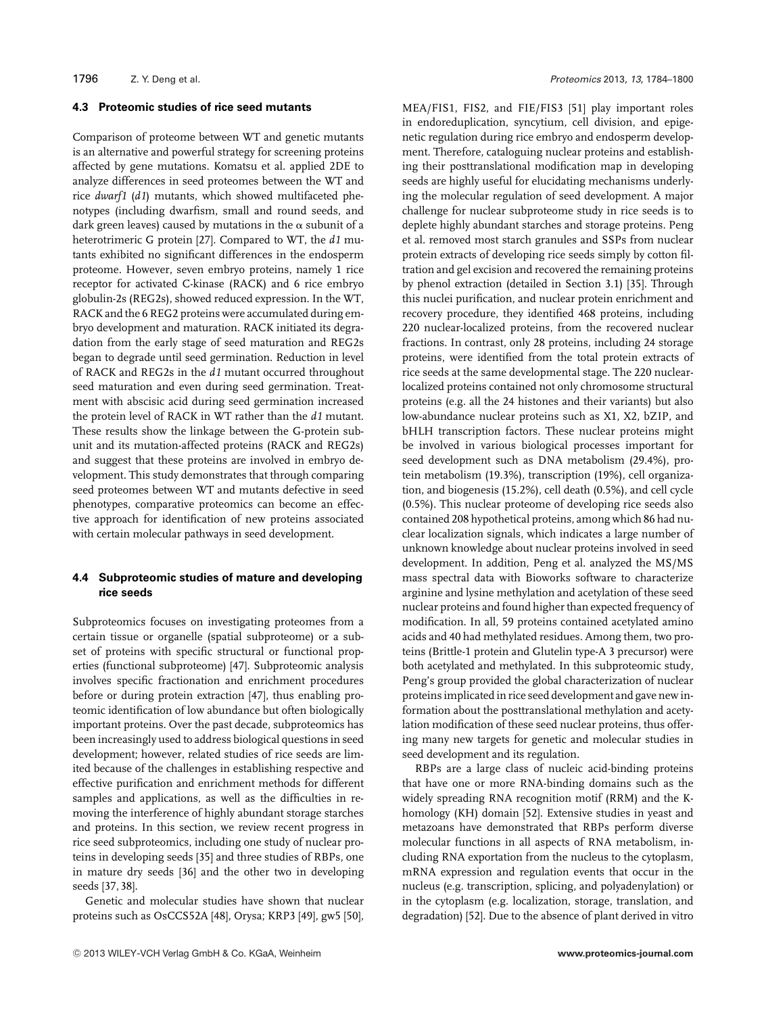#### **4.3 Proteomic studies of rice seed mutants**

Comparison of proteome between WT and genetic mutants is an alternative and powerful strategy for screening proteins affected by gene mutations. Komatsu et al. applied 2DE to analyze differences in seed proteomes between the WT and rice *dwarf1* (*d1*) mutants, which showed multifaceted phenotypes (including dwarfism, small and round seeds, and dark green leaves) caused by mutations in the  $\alpha$  subunit of a heterotrimeric G protein [27]. Compared to WT, the *d1* mutants exhibited no significant differences in the endosperm proteome. However, seven embryo proteins, namely 1 rice receptor for activated C-kinase (RACK) and 6 rice embryo globulin-2s (REG2s), showed reduced expression. In the WT, RACK and the 6 REG2 proteins were accumulated during embryo development and maturation. RACK initiated its degradation from the early stage of seed maturation and REG2s began to degrade until seed germination. Reduction in level of RACK and REG2s in the *d1* mutant occurred throughout seed maturation and even during seed germination. Treatment with abscisic acid during seed germination increased the protein level of RACK in WT rather than the *d1* mutant. These results show the linkage between the G-protein subunit and its mutation-affected proteins (RACK and REG2s) and suggest that these proteins are involved in embryo development. This study demonstrates that through comparing seed proteomes between WT and mutants defective in seed phenotypes, comparative proteomics can become an effective approach for identification of new proteins associated with certain molecular pathways in seed development.

#### **4.4 Subproteomic studies of mature and developing rice seeds**

Subproteomics focuses on investigating proteomes from a certain tissue or organelle (spatial subproteome) or a subset of proteins with specific structural or functional properties (functional subproteome) [47]. Subproteomic analysis involves specific fractionation and enrichment procedures before or during protein extraction [47], thus enabling proteomic identification of low abundance but often biologically important proteins. Over the past decade, subproteomics has been increasingly used to address biological questions in seed development; however, related studies of rice seeds are limited because of the challenges in establishing respective and effective purification and enrichment methods for different samples and applications, as well as the difficulties in removing the interference of highly abundant storage starches and proteins. In this section, we review recent progress in rice seed subproteomics, including one study of nuclear proteins in developing seeds [35] and three studies of RBPs, one in mature dry seeds [36] and the other two in developing seeds [37, 38].

Genetic and molecular studies have shown that nuclear proteins such as OsCCS52A [48], Orysa; KRP3 [49], gw5 [50], MEA/FIS1, FIS2, and FIE/FIS3 [51] play important roles in endoreduplication, syncytium, cell division, and epigenetic regulation during rice embryo and endosperm development. Therefore, cataloguing nuclear proteins and establishing their posttranslational modification map in developing seeds are highly useful for elucidating mechanisms underlying the molecular regulation of seed development. A major challenge for nuclear subproteome study in rice seeds is to deplete highly abundant starches and storage proteins. Peng et al. removed most starch granules and SSPs from nuclear protein extracts of developing rice seeds simply by cotton filtration and gel excision and recovered the remaining proteins by phenol extraction (detailed in Section 3.1) [35]. Through this nuclei purification, and nuclear protein enrichment and recovery procedure, they identified 468 proteins, including 220 nuclear-localized proteins, from the recovered nuclear fractions. In contrast, only 28 proteins, including 24 storage proteins, were identified from the total protein extracts of rice seeds at the same developmental stage. The 220 nuclearlocalized proteins contained not only chromosome structural proteins (e.g. all the 24 histones and their variants) but also low-abundance nuclear proteins such as X1, X2, bZIP, and bHLH transcription factors. These nuclear proteins might be involved in various biological processes important for seed development such as DNA metabolism (29.4%), protein metabolism (19.3%), transcription (19%), cell organization, and biogenesis (15.2%), cell death (0.5%), and cell cycle (0.5%). This nuclear proteome of developing rice seeds also contained 208 hypothetical proteins, among which 86 had nuclear localization signals, which indicates a large number of unknown knowledge about nuclear proteins involved in seed development. In addition, Peng et al. analyzed the MS/MS mass spectral data with Bioworks software to characterize arginine and lysine methylation and acetylation of these seed nuclear proteins and found higher than expected frequency of modification. In all, 59 proteins contained acetylated amino acids and 40 had methylated residues. Among them, two proteins (Brittle-1 protein and Glutelin type-A 3 precursor) were both acetylated and methylated. In this subproteomic study, Peng's group provided the global characterization of nuclear proteins implicated in rice seed development and gave new information about the posttranslational methylation and acetylation modification of these seed nuclear proteins, thus offering many new targets for genetic and molecular studies in seed development and its regulation.

RBPs are a large class of nucleic acid-binding proteins that have one or more RNA-binding domains such as the widely spreading RNA recognition motif (RRM) and the Khomology (KH) domain [52]. Extensive studies in yeast and metazoans have demonstrated that RBPs perform diverse molecular functions in all aspects of RNA metabolism, including RNA exportation from the nucleus to the cytoplasm, mRNA expression and regulation events that occur in the nucleus (e.g. transcription, splicing, and polyadenylation) or in the cytoplasm (e.g. localization, storage, translation, and degradation) [52]. Due to the absence of plant derived in vitro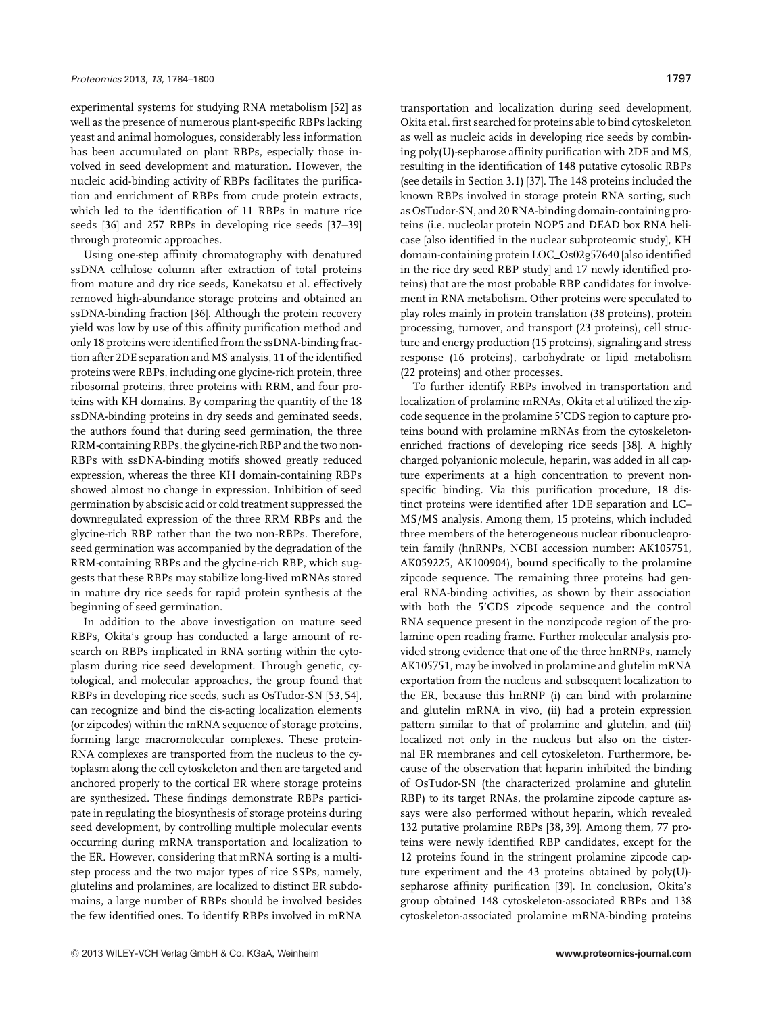experimental systems for studying RNA metabolism [52] as well as the presence of numerous plant-specific RBPs lacking yeast and animal homologues, considerably less information has been accumulated on plant RBPs, especially those involved in seed development and maturation. However, the nucleic acid-binding activity of RBPs facilitates the purification and enrichment of RBPs from crude protein extracts, which led to the identification of 11 RBPs in mature rice seeds [36] and 257 RBPs in developing rice seeds [37–39] through proteomic approaches.

Using one-step affinity chromatography with denatured ssDNA cellulose column after extraction of total proteins from mature and dry rice seeds, Kanekatsu et al. effectively removed high-abundance storage proteins and obtained an ssDNA-binding fraction [36]. Although the protein recovery yield was low by use of this affinity purification method and only 18 proteins were identified from the ssDNA-binding fraction after 2DE separation and MS analysis, 11 of the identified proteins were RBPs, including one glycine-rich protein, three ribosomal proteins, three proteins with RRM, and four proteins with KH domains. By comparing the quantity of the 18 ssDNA-binding proteins in dry seeds and geminated seeds, the authors found that during seed germination, the three RRM-containing RBPs, the glycine-rich RBP and the two non-RBPs with ssDNA-binding motifs showed greatly reduced expression, whereas the three KH domain-containing RBPs showed almost no change in expression. Inhibition of seed germination by abscisic acid or cold treatment suppressed the downregulated expression of the three RRM RBPs and the glycine-rich RBP rather than the two non-RBPs. Therefore, seed germination was accompanied by the degradation of the RRM-containing RBPs and the glycine-rich RBP, which suggests that these RBPs may stabilize long-lived mRNAs stored in mature dry rice seeds for rapid protein synthesis at the beginning of seed germination.

In addition to the above investigation on mature seed RBPs, Okita's group has conducted a large amount of research on RBPs implicated in RNA sorting within the cytoplasm during rice seed development. Through genetic, cytological, and molecular approaches, the group found that RBPs in developing rice seeds, such as OsTudor-SN [53, 54], can recognize and bind the cis-acting localization elements (or zipcodes) within the mRNA sequence of storage proteins, forming large macromolecular complexes. These protein-RNA complexes are transported from the nucleus to the cytoplasm along the cell cytoskeleton and then are targeted and anchored properly to the cortical ER where storage proteins are synthesized. These findings demonstrate RBPs participate in regulating the biosynthesis of storage proteins during seed development, by controlling multiple molecular events occurring during mRNA transportation and localization to the ER. However, considering that mRNA sorting is a multistep process and the two major types of rice SSPs, namely, glutelins and prolamines, are localized to distinct ER subdomains, a large number of RBPs should be involved besides the few identified ones. To identify RBPs involved in mRNA

transportation and localization during seed development, Okita et al. first searched for proteins able to bind cytoskeleton as well as nucleic acids in developing rice seeds by combining poly(U)-sepharose affinity purification with 2DE and MS, resulting in the identification of 148 putative cytosolic RBPs (see details in Section 3.1) [37]. The 148 proteins included the known RBPs involved in storage protein RNA sorting, such as OsTudor-SN, and 20 RNA-binding domain-containing proteins (i.e. nucleolar protein NOP5 and DEAD box RNA helicase [also identified in the nuclear subproteomic study], KH domain-containing protein LOC\_Os02g57640 [also identified in the rice dry seed RBP study] and 17 newly identified proteins) that are the most probable RBP candidates for involvement in RNA metabolism. Other proteins were speculated to play roles mainly in protein translation (38 proteins), protein processing, turnover, and transport (23 proteins), cell structure and energy production (15 proteins), signaling and stress response (16 proteins), carbohydrate or lipid metabolism (22 proteins) and other processes.

To further identify RBPs involved in transportation and localization of prolamine mRNAs, Okita et al utilized the zipcode sequence in the prolamine 5'CDS region to capture proteins bound with prolamine mRNAs from the cytoskeletonenriched fractions of developing rice seeds [38]. A highly charged polyanionic molecule, heparin, was added in all capture experiments at a high concentration to prevent nonspecific binding. Via this purification procedure, 18 distinct proteins were identified after 1DE separation and LC– MS/MS analysis. Among them, 15 proteins, which included three members of the heterogeneous nuclear ribonucleoprotein family (hnRNPs, NCBI accession number: AK105751, AK059225, AK100904), bound specifically to the prolamine zipcode sequence. The remaining three proteins had general RNA-binding activities, as shown by their association with both the 5'CDS zipcode sequence and the control RNA sequence present in the nonzipcode region of the prolamine open reading frame. Further molecular analysis provided strong evidence that one of the three hnRNPs, namely AK105751, may be involved in prolamine and glutelin mRNA exportation from the nucleus and subsequent localization to the ER, because this hnRNP (i) can bind with prolamine and glutelin mRNA in vivo, (ii) had a protein expression pattern similar to that of prolamine and glutelin, and (iii) localized not only in the nucleus but also on the cisternal ER membranes and cell cytoskeleton. Furthermore, because of the observation that heparin inhibited the binding of OsTudor-SN (the characterized prolamine and glutelin RBP) to its target RNAs, the prolamine zipcode capture assays were also performed without heparin, which revealed 132 putative prolamine RBPs [38, 39]. Among them, 77 proteins were newly identified RBP candidates, except for the 12 proteins found in the stringent prolamine zipcode capture experiment and the 43 proteins obtained by poly(U) sepharose affinity purification [39]. In conclusion, Okita's group obtained 148 cytoskeleton-associated RBPs and 138 cytoskeleton-associated prolamine mRNA-binding proteins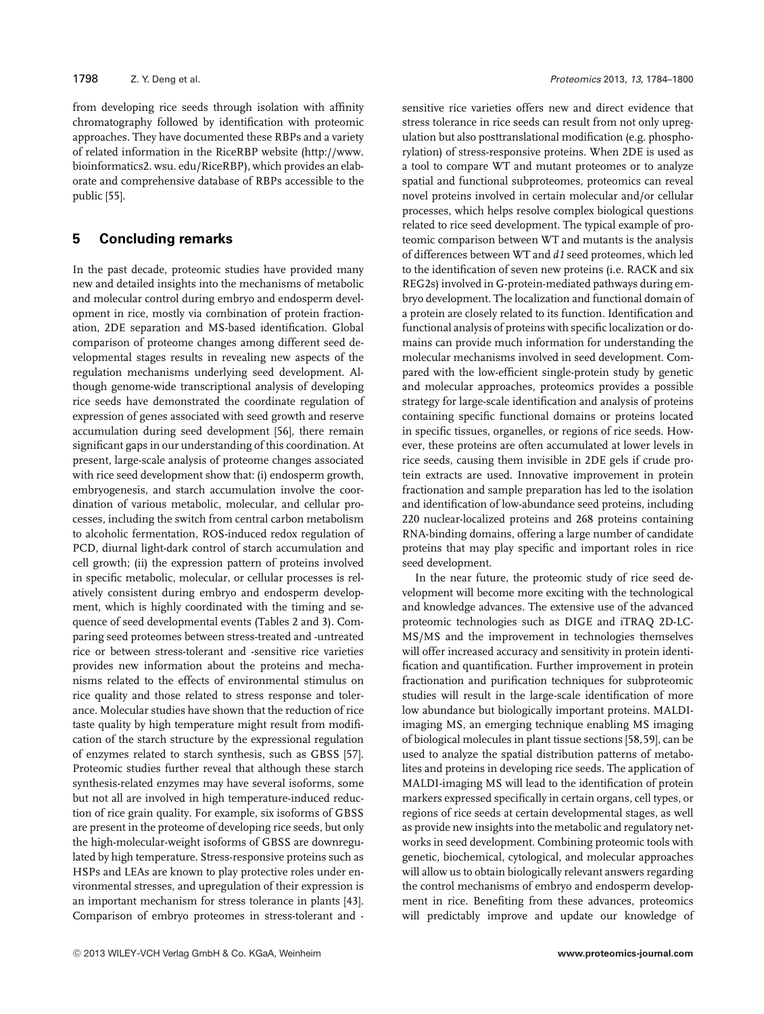from developing rice seeds through isolation with affinity chromatography followed by identification with proteomic approaches. They have documented these RBPs and a variety of related information in the RiceRBP website [\(http://www.](http://www.bioinformatics2.wsu.edu/RiceRBP) [bioinformatics2. wsu. edu/RiceRBP\)](http://www.bioinformatics2.wsu.edu/RiceRBP), which provides an elaborate and comprehensive database of RBPs accessible to the public [55].

# **5 Concluding remarks**

In the past decade, proteomic studies have provided many new and detailed insights into the mechanisms of metabolic and molecular control during embryo and endosperm development in rice, mostly via combination of protein fractionation, 2DE separation and MS-based identification. Global comparison of proteome changes among different seed developmental stages results in revealing new aspects of the regulation mechanisms underlying seed development. Although genome-wide transcriptional analysis of developing rice seeds have demonstrated the coordinate regulation of expression of genes associated with seed growth and reserve accumulation during seed development [56], there remain significant gaps in our understanding of this coordination. At present, large-scale analysis of proteome changes associated with rice seed development show that: (i) endosperm growth, embryogenesis, and starch accumulation involve the coordination of various metabolic, molecular, and cellular processes, including the switch from central carbon metabolism to alcoholic fermentation, ROS-induced redox regulation of PCD, diurnal light-dark control of starch accumulation and cell growth; (ii) the expression pattern of proteins involved in specific metabolic, molecular, or cellular processes is relatively consistent during embryo and endosperm development, which is highly coordinated with the timing and sequence of seed developmental events (Tables 2 and 3). Comparing seed proteomes between stress-treated and -untreated rice or between stress-tolerant and -sensitive rice varieties provides new information about the proteins and mechanisms related to the effects of environmental stimulus on rice quality and those related to stress response and tolerance. Molecular studies have shown that the reduction of rice taste quality by high temperature might result from modification of the starch structure by the expressional regulation of enzymes related to starch synthesis, such as GBSS [57]. Proteomic studies further reveal that although these starch synthesis-related enzymes may have several isoforms, some but not all are involved in high temperature-induced reduction of rice grain quality. For example, six isoforms of GBSS are present in the proteome of developing rice seeds, but only the high-molecular-weight isoforms of GBSS are downregulated by high temperature. Stress-responsive proteins such as HSPs and LEAs are known to play protective roles under environmental stresses, and upregulation of their expression is an important mechanism for stress tolerance in plants [43]. Comparison of embryo proteomes in stress-tolerant and -

sensitive rice varieties offers new and direct evidence that stress tolerance in rice seeds can result from not only upregulation but also posttranslational modification (e.g. phosphorylation) of stress-responsive proteins. When 2DE is used as a tool to compare WT and mutant proteomes or to analyze spatial and functional subproteomes, proteomics can reveal novel proteins involved in certain molecular and/or cellular processes, which helps resolve complex biological questions related to rice seed development. The typical example of proteomic comparison between WT and mutants is the analysis of differences between WT and *d1* seed proteomes, which led to the identification of seven new proteins (i.e. RACK and six REG2s) involved in G-protein-mediated pathways during embryo development. The localization and functional domain of a protein are closely related to its function. Identification and functional analysis of proteins with specific localization or domains can provide much information for understanding the molecular mechanisms involved in seed development. Compared with the low-efficient single-protein study by genetic and molecular approaches, proteomics provides a possible strategy for large-scale identification and analysis of proteins containing specific functional domains or proteins located in specific tissues, organelles, or regions of rice seeds. However, these proteins are often accumulated at lower levels in rice seeds, causing them invisible in 2DE gels if crude protein extracts are used. Innovative improvement in protein fractionation and sample preparation has led to the isolation and identification of low-abundance seed proteins, including 220 nuclear-localized proteins and 268 proteins containing RNA-binding domains, offering a large number of candidate proteins that may play specific and important roles in rice seed development.

In the near future, the proteomic study of rice seed development will become more exciting with the technological and knowledge advances. The extensive use of the advanced proteomic technologies such as DIGE and iTRAQ 2D-LC-MS/MS and the improvement in technologies themselves will offer increased accuracy and sensitivity in protein identification and quantification. Further improvement in protein fractionation and purification techniques for subproteomic studies will result in the large-scale identification of more low abundance but biologically important proteins. MALDIimaging MS, an emerging technique enabling MS imaging of biological molecules in plant tissue sections [58,59], can be used to analyze the spatial distribution patterns of metabolites and proteins in developing rice seeds. The application of MALDI-imaging MS will lead to the identification of protein markers expressed specifically in certain organs, cell types, or regions of rice seeds at certain developmental stages, as well as provide new insights into the metabolic and regulatory networks in seed development. Combining proteomic tools with genetic, biochemical, cytological, and molecular approaches will allow us to obtain biologically relevant answers regarding the control mechanisms of embryo and endosperm development in rice. Benefiting from these advances, proteomics will predictably improve and update our knowledge of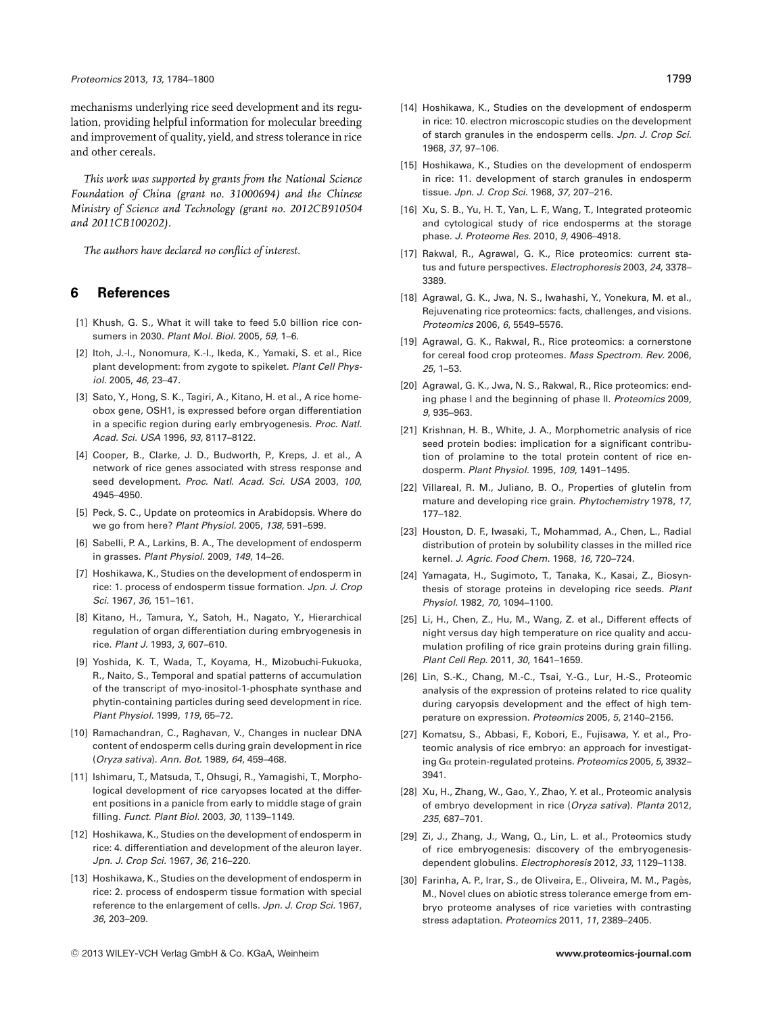mechanisms underlying rice seed development and its regulation, providing helpful information for molecular breeding and improvement of quality, yield, and stress tolerance in rice and other cereals.

*This work was supported by grants from the National Science Foundation of China (grant no. 31000694) and the Chinese Ministry of Science and Technology (grant no. 2012CB910504 and 2011CB100202).*

*The authors have declared no conflict of interest.*

# **6 References**

- [1] Khush, G. S., What it will take to feed 5.0 billion rice consumers in 2030. *Plant Mol. Biol.* 2005, *59*, 1–6.
- [2] Itoh, J.-I., Nonomura, K.-I., Ikeda, K., Yamaki, S. et al., Rice plant development: from zygote to spikelet. *Plant Cell Physiol.* 2005, *46*, 23–47.
- [3] Sato, Y., Hong, S. K., Tagiri, A., Kitano, H. et al., A rice homeobox gene, OSH1, is expressed before organ differentiation in a specific region during early embryogenesis. *Proc. Natl. Acad. Sci. USA* 1996, *93*, 8117–8122.
- [4] Cooper, B., Clarke, J. D., Budworth, P., Kreps, J. et al., A network of rice genes associated with stress response and seed development. *Proc. Natl. Acad. Sci. USA* 2003, *100*, 4945–4950.
- [5] Peck, S. C., Update on proteomics in Arabidopsis. Where do we go from here? *Plant Physiol.* 2005, *138*, 591–599.
- [6] Sabelli, P. A., Larkins, B. A., The development of endosperm in grasses. *Plant Physiol.* 2009, *149*, 14–26.
- [7] Hoshikawa, K., Studies on the development of endosperm in rice: 1. process of endosperm tissue formation. *Jpn. J. Crop Sci.* 1967, *36*, 151–161.
- [8] Kitano, H., Tamura, Y., Satoh, H., Nagato, Y., Hierarchical regulation of organ differentiation during embryogenesis in rice. *Plant J.* 1993, *3*, 607–610.
- [9] Yoshida, K. T., Wada, T., Koyama, H., Mizobuchi-Fukuoka, R., Naito, S., Temporal and spatial patterns of accumulation of the transcript of myo-inositol-1-phosphate synthase and phytin-containing particles during seed development in rice. *Plant Physiol.* 1999, *119*, 65–72.
- [10] Ramachandran, C., Raghavan, V., Changes in nuclear DNA content of endosperm cells during grain development in rice (*Oryza sativa*). *Ann. Bot.* 1989, *64*, 459–468.
- [11] Ishimaru, T., Matsuda, T., Ohsugi, R., Yamagishi, T., Morphological development of rice caryopses located at the different positions in a panicle from early to middle stage of grain filling. *Funct. Plant Biol.* 2003, *30*, 1139–1149.
- [12] Hoshikawa, K., Studies on the development of endosperm in rice: 4. differentiation and development of the aleuron layer. *Jpn. J. Crop Sci.* 1967, *36*, 216–220.
- [13] Hoshikawa, K., Studies on the development of endosperm in rice: 2. process of endosperm tissue formation with special reference to the enlargement of cells. *Jpn. J. Crop Sci.* 1967, *36*, 203–209.
- [14] Hoshikawa, K., Studies on the development of endosperm in rice: 10. electron microscopic studies on the development of starch granules in the endosperm cells. *Jpn. J. Crop Sci.* 1968, *37*, 97–106.
- [15] Hoshikawa, K., Studies on the development of endosperm in rice: 11. development of starch granules in endosperm tissue. *Jpn. J. Crop Sci.* 1968, *37*, 207–216.
- [16] Xu, S. B., Yu, H. T., Yan, L. F., Wang, T., Integrated proteomic and cytological study of rice endosperms at the storage phase. *J. Proteome Res.* 2010, *9*, 4906–4918.
- [17] Rakwal, R., Agrawal, G. K., Rice proteomics: current status and future perspectives. *Electrophoresis* 2003, *24*, 3378– 3389.
- [18] Agrawal, G. K., Jwa, N. S., Iwahashi, Y., Yonekura, M. et al., Rejuvenating rice proteomics: facts, challenges, and visions. *Proteomics* 2006, *6*, 5549–5576.
- [19] Agrawal, G. K., Rakwal, R., Rice proteomics: a cornerstone for cereal food crop proteomes. *Mass Spectrom. Rev.* 2006, *25*, 1–53.
- [20] Agrawal, G. K., Jwa, N. S., Rakwal, R., Rice proteomics: ending phase I and the beginning of phase II. *Proteomics* 2009, *9*, 935–963.
- [21] Krishnan, H. B., White, J. A., Morphometric analysis of rice seed protein bodies: implication for a significant contribution of prolamine to the total protein content of rice endosperm. *Plant Physiol.* 1995, *109*, 1491–1495.
- [22] Villareal, R. M., Juliano, B. O., Properties of glutelin from mature and developing rice grain. *Phytochemistry* 1978, *17*, 177–182.
- [23] Houston, D. F., Iwasaki, T., Mohammad, A., Chen, L., Radial distribution of protein by solubility classes in the milled rice kernel. *J. Agric. Food Chem.* 1968, *16*, 720–724.
- [24] Yamagata, H., Sugimoto, T., Tanaka, K., Kasai, Z., Biosynthesis of storage proteins in developing rice seeds. *Plant Physiol.* 1982, *70*, 1094–1100.
- [25] Li, H., Chen, Z., Hu, M., Wang, Z. et al., Different effects of night versus day high temperature on rice quality and accumulation profiling of rice grain proteins during grain filling. *Plant Cell Rep.* 2011, *30*, 1641–1659.
- [26] Lin, S.-K., Chang, M.-C., Tsai, Y.-G., Lur, H.-S., Proteomic analysis of the expression of proteins related to rice quality during caryopsis development and the effect of high temperature on expression. *Proteomics* 2005, *5*, 2140–2156.
- [27] Komatsu, S., Abbasi, F., Kobori, E., Fujisawa, Y. et al., Proteomic analysis of rice embryo: an approach for investigating Gα protein-regulated proteins. *Proteomics* 2005, 5, 3932-3941.
- [28] Xu, H., Zhang, W., Gao, Y., Zhao, Y. et al., Proteomic analysis of embryo development in rice (*Oryza sativa*). *Planta* 2012, *235*, 687–701.
- [29] Zi, J., Zhang, J., Wang, Q., Lin, L. et al., Proteomics study of rice embryogenesis: discovery of the embryogenesisdependent globulins. *Electrophoresis* 2012, *33*, 1129–1138.
- [30] Farinha, A. P., Irar, S., de Oliveira, E., Oliveira, M. M., Pagès, M., Novel clues on abiotic stress tolerance emerge from embryo proteome analyses of rice varieties with contrasting stress adaptation. *Proteomics* 2011, *11*, 2389–2405.